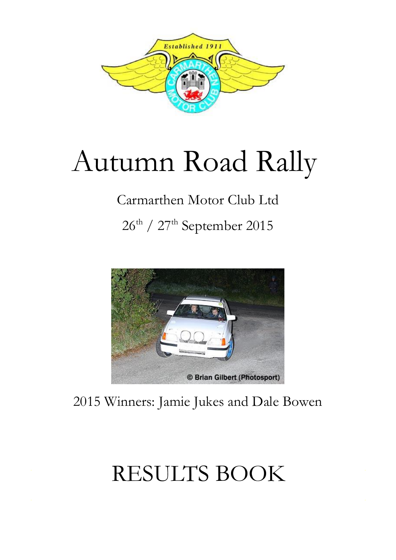

# Autumn Road Rally

## Carmarthen Motor Club Ltd

26<sup>th</sup> / 27<sup>th</sup> September 2015



2015 Winners: Jamie Jukes and Dale Bowen

## RESULTS BOOK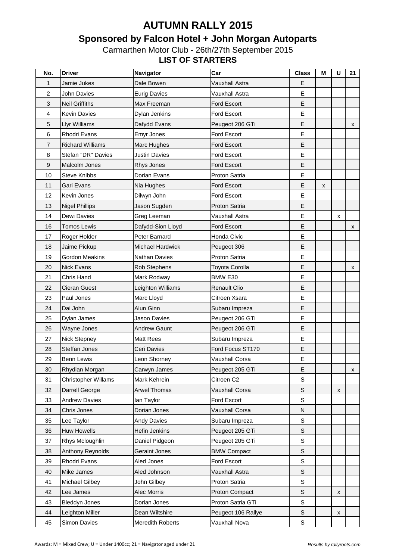## **Sponsored by Falcon Hotel + John Morgan Autoparts**

Carmarthen Motor Club - 26th/27th September 2015 **LIST OF STARTERS**

| No. | <b>Driver</b>           | Navigator               | Car                   | <b>Class</b> | M | U | 21 |
|-----|-------------------------|-------------------------|-----------------------|--------------|---|---|----|
| 1   | Jamie Jukes             | Dale Bowen              | <b>Vauxhall Astra</b> | E            |   |   |    |
| 2   | <b>John Davies</b>      | <b>Eurig Davies</b>     | Vauxhall Astra        | E            |   |   |    |
| 3   | <b>Neil Griffiths</b>   | Max Freeman             | Ford Escort           | E            |   |   |    |
| 4   | <b>Kevin Davies</b>     | Dylan Jenkins           | Ford Escort           | E            |   |   |    |
| 5   | Llyr Williams           | Dafydd Evans            | Peugeot 206 GTi       | E            |   |   | X  |
| 6   | <b>Rhodri Evans</b>     | Emyr Jones              | Ford Escort           | E            |   |   |    |
| 7   | <b>Richard Williams</b> | Marc Hughes             | <b>Ford Escort</b>    | E            |   |   |    |
| 8   | Stefan "DR" Davies      | <b>Justin Davies</b>    | Ford Escort           | E            |   |   |    |
| 9   | Malcolm Jones           | Rhys Jones              | Ford Escort           | E            |   |   |    |
| 10  | <b>Steve Knibbs</b>     | Dorian Evans            | Proton Satria         | E            |   |   |    |
| 11  | Gari Evans              | Nia Hughes              | Ford Escort           | E            | x |   |    |
| 12  | Kevin Jones             | Dilwyn John             | Ford Escort           | E            |   |   |    |
| 13  | <b>Nigel Phillips</b>   | Jason Sugden            | Proton Satria         | E            |   |   |    |
| 14  | Dewi Davies             | Greg Leeman             | Vauxhall Astra        | E            |   | X |    |
| 16  | <b>Tomos Lewis</b>      | Dafydd-Sion Lloyd       | Ford Escort           | E            |   |   | X  |
| 17  | Roger Holder            | Peter Barnard           | Honda Civic           | E            |   |   |    |
| 18  | Jaime Pickup            | <b>Michael Hardwick</b> | Peugeot 306           | E            |   |   |    |
| 19  | <b>Gordon Meakins</b>   | <b>Nathan Davies</b>    | Proton Satria         | E            |   |   |    |
| 20  | <b>Nick Evans</b>       | Rob Stephens            | Toyota Corolla        | E            |   |   | x  |
| 21  | Chris Hand              | Mark Rodway             | BMW E30               | E            |   |   |    |
| 22  | <b>Cieran Guest</b>     | Leighton Williams       | <b>Renault Clio</b>   | E            |   |   |    |
| 23  | Paul Jones              | Marc Lloyd              | Citroen Xsara         | E            |   |   |    |
| 24  | Dai John                | Alun Ginn               | Subaru Impreza        | E            |   |   |    |
| 25  | Dylan James             | Jason Davies            | Peugeot 206 GTi       | E            |   |   |    |
| 26  | Wayne Jones             | <b>Andrew Gaunt</b>     | Peugeot 206 GTi       | E            |   |   |    |
| 27  | Nick Stepney            | Matt Rees               | Subaru Impreza        | E            |   |   |    |
| 28  | Steffan Jones           | Ceri Davies             | Ford Focus ST170      | Е            |   |   |    |
| 29  | Benn Lewis              | Leon Shorney            | Vauxhall Corsa        | E            |   |   |    |
| 30  | Rhydian Morgan          | Carwyn James            | Peugeot 205 GTi       | E            |   |   | x  |
| 31  | Christopher Willams     | Mark Kehrein            | Citroen C2            | $\mathbb S$  |   |   |    |
| 32  | Darrell George          | <b>Arwel Thomas</b>     | Vauxhall Corsa        | $\mathbb S$  |   | X |    |
| 33  | <b>Andrew Davies</b>    | lan Taylor              | Ford Escort           | $\mathbb S$  |   |   |    |
| 34  | Chris Jones             | Dorian Jones            | <b>Vauxhall Corsa</b> | N            |   |   |    |
| 35  | Lee Taylor              | <b>Andy Davies</b>      | Subaru Impreza        | $\mathbb S$  |   |   |    |
| 36  | <b>Huw Howells</b>      | Hefin Jenkins           | Peugeot 205 GTi       | $\mathsf S$  |   |   |    |
| 37  | Rhys Mcloughlin         | Daniel Pidgeon          | Peugeot 205 GTi       | $\mathbb S$  |   |   |    |
| 38  | Anthony Reynolds        | Geraint Jones           | <b>BMW Compact</b>    | $\mathbb S$  |   |   |    |
| 39  | Rhodri Evans            | Aled Jones              | Ford Escort           | $\mathbb S$  |   |   |    |
| 40  | Mike James              | Aled Johnson            | Vauxhall Astra        | $\mathbb S$  |   |   |    |
| 41  | <b>Michael Gilbey</b>   | John Gilbey             | Proton Satria         | $\mathbb S$  |   |   |    |
| 42  | Lee James               | Alec Morris             | Proton Compact        | $\mathbb S$  |   | X |    |
| 43  | <b>Bleddyn Jones</b>    | Dorian Jones            | Proton Satria GTi     | $\mathbb S$  |   |   |    |
| 44  | Leighton Miller         | Dean Wiltshire          | Peugeot 106 Rallye    | $\mathbb S$  |   | x |    |
| 45  | Simon Davies            | Meredith Roberts        | Vauxhall Nova         | $\mathbb S$  |   |   |    |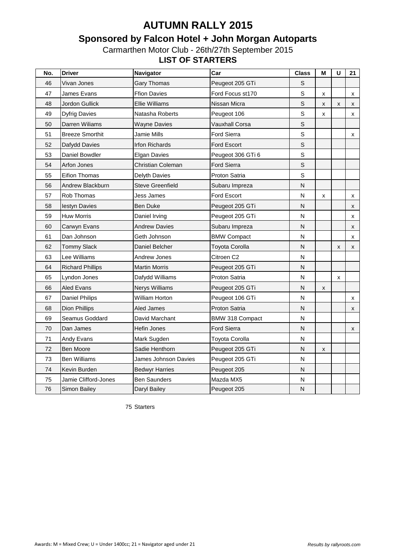## **Sponsored by Falcon Hotel + John Morgan Autoparts**

Carmarthen Motor Club - 26th/27th September 2015 **LIST OF STARTERS**

| No. | <b>Driver</b>           | Navigator               | Car                    | <b>Class</b>            | M | U | 21                 |
|-----|-------------------------|-------------------------|------------------------|-------------------------|---|---|--------------------|
| 46  | Vivan Jones             | <b>Gary Thomas</b>      | Peugeot 205 GTi        | $\mathsf S$             |   |   |                    |
| 47  | James Evans             | <b>Ffion Davies</b>     | Ford Focus st170       | $\mathbf S$             | X |   | X                  |
| 48  | Jordon Gullick          | <b>Ellie Williams</b>   | Nissan Micra           | $\mathbb S$             | X | X | X                  |
| 49  | <b>Dyfrig Davies</b>    | Natasha Roberts         | Peugeot 106            | $\mathbf S$             | X |   | x                  |
| 50  | Darren Wiliams          | <b>Wayne Davies</b>     | Vauxhall Corsa         | $\mathsf S$             |   |   |                    |
| 51  | <b>Breeze Smorthit</b>  | Jamie Mills             | Ford Sierra            | S                       |   |   | X                  |
| 52  | Dafydd Davies           | <b>Irfon Richards</b>   | Ford Escort            | $\mathsf S$             |   |   |                    |
| 53  | Daniel Bowdler          | <b>Elgan Davies</b>     | Peugeot 306 GTi 6      | S                       |   |   |                    |
| 54  | Arfon Jones             | Christian Coleman       | Ford Sierra            | $\mathsf S$             |   |   |                    |
| 55  | <b>Eifion Thomas</b>    | <b>Delyth Davies</b>    | <b>Proton Satria</b>   | $\mathbf S$             |   |   |                    |
| 56  | Andrew Blackburn        | <b>Steve Greenfield</b> | Subaru Impreza         | $\overline{N}$          |   |   |                    |
| 57  | Rob Thomas              | Jess James              | Ford Escort            | N                       | X |   | X                  |
| 58  | lestyn Davies           | <b>Ben Duke</b>         | Peugeot 205 GTi        | Ν                       |   |   | X                  |
| 59  | <b>Huw Morris</b>       | Daniel Irving           | Peugeot 205 GTi        | N                       |   |   | X                  |
| 60  | Carwyn Evans            | <b>Andrew Davies</b>    | Subaru Impreza         | $\mathsf{N}$            |   |   | X                  |
| 61  | Dan Johnson             | Geth Johnson            | <b>BMW Compact</b>     | N                       |   |   | X                  |
| 62  | <b>Tommy Slack</b>      | Daniel Belcher          | <b>Toyota Corolla</b>  | N                       |   | X | X                  |
| 63  | Lee Williams            | Andrew Jones            | Citroen C2             | N                       |   |   |                    |
| 64  | <b>Richard Phillips</b> | <b>Martin Morris</b>    | Peugeot 205 GTi        | N                       |   |   |                    |
| 65  | Lyndon Jones            | Dafydd Williams         | <b>Proton Satria</b>   | N                       |   | X |                    |
| 66  | Aled Evans              | <b>Nerys Williams</b>   | Peugeot 205 GTi        | N                       | X |   |                    |
| 67  | <b>Daniel Philips</b>   | William Horton          | Peugeot 106 GTi        | N                       |   |   | X                  |
| 68  | <b>Dion Phillips</b>    | Aled James              | <b>Proton Satria</b>   | N                       |   |   | $\pmb{\mathsf{x}}$ |
| 69  | Seamus Goddard          | David Marchant          | <b>BMW 318 Compact</b> | N                       |   |   |                    |
| 70  | Dan James               | Hefin Jones             | <b>Ford Sierra</b>     | N                       |   |   | X                  |
| 71  | Andy Evans              | Mark Sugden             | Toyota Corolla         | N                       |   |   |                    |
| 72  | <b>Ben Moore</b>        | Sadie Henthorn          | Peugeot 205 GTi        | $\overline{\mathsf{N}}$ | X |   |                    |
| 73  | <b>Ben Williams</b>     | James Johnson Davies    | Peugeot 205 GTi        | N                       |   |   |                    |
| 74  | Kevin Burden            | <b>Bedwyr Harries</b>   | Peugeot 205            | $\mathsf{N}$            |   |   |                    |
| 75  | Jamie Clifford-Jones    | <b>Ben Saunders</b>     | Mazda MX5              | N                       |   |   |                    |
| 76  | Simon Bailey            | Daryl Bailey            | Peugeot 205            | ${\sf N}$               |   |   |                    |

Starters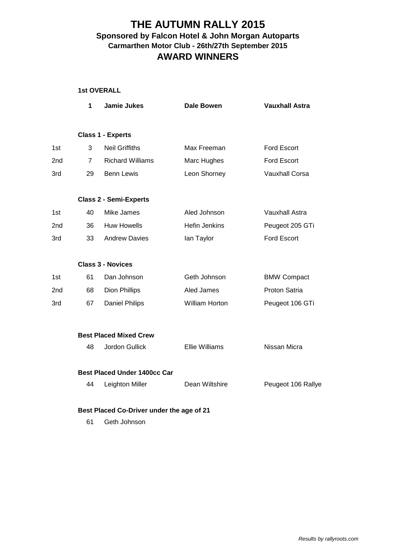#### **THE AUTUMN RALLY 2015 Carmarthen Motor Club - 26th/27th September 2015 AWARD WINNERS Sponsored by Falcon Hotel & John Morgan Autoparts**

|  | <b>1st OVERALL</b> |
|--|--------------------|
|--|--------------------|

|     | 1              | <b>Jamie Jukes</b>                  | <b>Dale Bowen</b>     | <b>Vauxhall Astra</b> |
|-----|----------------|-------------------------------------|-----------------------|-----------------------|
|     |                | <b>Class 1 - Experts</b>            |                       |                       |
| 1st | 3              | <b>Neil Griffiths</b>               | Max Freeman           | Ford Escort           |
| 2nd | $\overline{7}$ | <b>Richard Williams</b>             | Marc Hughes           | Ford Escort           |
| 3rd | 29             | <b>Benn Lewis</b>                   | Leon Shorney          | <b>Vauxhall Corsa</b> |
|     |                | <b>Class 2 - Semi-Experts</b>       |                       |                       |
| 1st | 40             | Mike James                          | Aled Johnson          | <b>Vauxhall Astra</b> |
| 2nd | 36             | <b>Huw Howells</b>                  | <b>Hefin Jenkins</b>  | Peugeot 205 GTi       |
| 3rd | 33             | <b>Andrew Davies</b>                | lan Taylor            | Ford Escort           |
|     |                | <b>Class 3 - Novices</b>            |                       |                       |
| 1st | 61             | Dan Johnson                         | Geth Johnson          | <b>BMW Compact</b>    |
| 2nd | 68             | Dion Phillips                       | Aled James            | Proton Satria         |
| 3rd | 67             | <b>Daniel Philips</b>               | William Horton        | Peugeot 106 GTi       |
|     |                | <b>Best Placed Mixed Crew</b>       |                       |                       |
|     | 48             | Jordon Gullick                      | <b>Ellie Williams</b> | Nissan Micra          |
|     |                | <b>Best Placed Under 1400cc Car</b> |                       |                       |
|     | 44             | Leighton Miller                     | Dean Wiltshire        | Peugeot 106 Rallye    |

#### **Best Placed Co-Driver under the age of 21**

61 Geth Johnson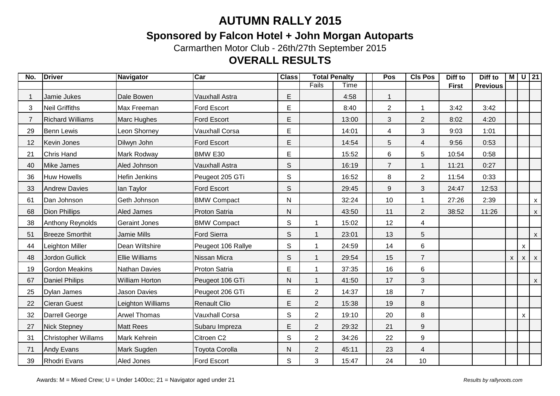## **Sponsored by Falcon Hotel + John Morgan Autoparts**

Carmarthen Motor Club - 26th/27th September 2015

## **OVERALL RESULTS**

| No. | <b>Driver</b>              | Navigator             | Car                   | <b>Class</b> | <b>Total Penalty</b>    |       |                | <b>CIs Pos</b> | Diff to      | Diff to         | $\blacksquare$            |              | $U$ 21         |
|-----|----------------------------|-----------------------|-----------------------|--------------|-------------------------|-------|----------------|----------------|--------------|-----------------|---------------------------|--------------|----------------|
|     |                            |                       |                       |              | Fails                   | Time  |                |                | <b>First</b> | <b>Previous</b> |                           |              |                |
|     | Jamie Jukes                | Dale Bowen            | <b>Vauxhall Astra</b> | E            |                         | 4:58  | 1              |                |              |                 |                           |              |                |
| 3   | <b>Neil Griffiths</b>      | Max Freeman           | <b>Ford Escort</b>    | E            |                         | 8:40  | $\overline{2}$ | 1              | 3:42         | 3:42            |                           |              |                |
|     | <b>Richard Williams</b>    | Marc Hughes           | <b>Ford Escort</b>    | E            |                         | 13:00 | 3              | $\overline{2}$ | 8:02         | 4:20            |                           |              |                |
| 29  | <b>Benn Lewis</b>          | Leon Shorney          | <b>Vauxhall Corsa</b> | E            |                         | 14:01 | $\overline{4}$ | 3              | 9:03         | 1:01            |                           |              |                |
| 12  | Kevin Jones                | Dilwyn John           | <b>Ford Escort</b>    | E            |                         | 14:54 | 5              | $\overline{4}$ | 9:56         | 0:53            |                           |              |                |
| 21  | <b>Chris Hand</b>          | Mark Rodway           | BMW E30               | E            |                         | 15:52 | 6              | 5              | 10:54        | 0:58            |                           |              |                |
| 40  | <b>Mike James</b>          | Aled Johnson          | <b>Vauxhall Astra</b> | $\mathsf{S}$ |                         | 16:19 | $\overline{7}$ |                | 11:21        | 0:27            |                           |              |                |
| 36  | Huw Howells                | <b>Hefin Jenkins</b>  | Peugeot 205 GTi       | $\mathsf{S}$ |                         | 16:52 | 8              | $\overline{2}$ | 11:54        | 0:33            |                           |              |                |
| 33  | <b>Andrew Davies</b>       | lan Taylor            | <b>Ford Escort</b>    | $\mathsf{S}$ |                         | 29:45 | 9              | 3              | 24:47        | 12:53           |                           |              |                |
| 61  | Dan Johnson                | Geth Johnson          | <b>BMW Compact</b>    | N            |                         | 32:24 | 10             |                | 27:26        | 2:39            |                           |              | $\mathsf{x}$   |
| 68  | <b>Dion Phillips</b>       | Aled James            | <b>Proton Satria</b>  | N            |                         | 43:50 | 11             | $\overline{2}$ | 38:52        | 11:26           |                           |              | $\mathsf{x}$   |
| 38  | Anthony Reynolds           | <b>Geraint Jones</b>  | <b>BMW Compact</b>    | S            |                         | 15:02 | 12             | 4              |              |                 |                           |              |                |
| 51  | <b>Breeze Smorthit</b>     | <b>Jamie Mills</b>    | <b>Ford Sierra</b>    | $\mathsf S$  |                         | 23:01 | 13             | 5              |              |                 |                           |              | $\mathsf{x}$   |
| 44  | Leighton Miller            | Dean Wiltshire        | Peugeot 106 Rallye    | $\mathsf S$  | $\overline{\mathbf{1}}$ | 24:59 | 14             | 6              |              |                 |                           | $\mathsf{x}$ |                |
| 48  | Jordon Gullick             | <b>Ellie Williams</b> | Nissan Micra          | $\mathsf S$  |                         | 29:54 | 15             | $\overline{7}$ |              |                 | $\boldsymbol{\mathsf{x}}$ | $\mathsf{X}$ | $\mathsf{x}$   |
| 19  | <b>Gordon Meakins</b>      | <b>Nathan Davies</b>  | Proton Satria         | E            | $\overline{1}$          | 37:35 | 16             | $6\phantom{1}$ |              |                 |                           |              |                |
| 67  | <b>Daniel Philips</b>      | <b>William Horton</b> | Peugeot 106 GTi       | N            |                         | 41:50 | 17             | 3              |              |                 |                           |              | $\mathsf{X}^-$ |
| 25  | Dylan James                | <b>Jason Davies</b>   | Peugeot 206 GTi       | E            | $\overline{2}$          | 14:37 | 18             | $\overline{7}$ |              |                 |                           |              |                |
| 22  | <b>Cieran Guest</b>        | Leighton Williams     | <b>Renault Clio</b>   | E            | $\overline{2}$          | 15:38 | 19             | 8              |              |                 |                           |              |                |
| 32  | Darrell George             | <b>Arwel Thomas</b>   | <b>Vauxhall Corsa</b> | S            | $\overline{2}$          | 19:10 | 20             | 8              |              |                 |                           | $\mathsf{x}$ |                |
| 27  | <b>Nick Stepney</b>        | <b>Matt Rees</b>      | Subaru Impreza        | E            | $\overline{2}$          | 29:32 | 21             | 9              |              |                 |                           |              |                |
| 31  | <b>Christopher Willams</b> | Mark Kehrein          | Citroen C2            | $\mathsf{S}$ | $\overline{2}$          | 34:26 | 22             | 9              |              |                 |                           |              |                |
| 71  | <b>Andy Evans</b>          | Mark Sugden           | <b>Toyota Corolla</b> | $\mathsf{N}$ | $\overline{2}$          | 45:11 | 23             | $\overline{4}$ |              |                 |                           |              |                |
| 39  | <b>Rhodri Evans</b>        | Aled Jones            | Ford Escort           | $\mathsf S$  | 3                       | 15:47 | 24             | 10             |              |                 |                           |              |                |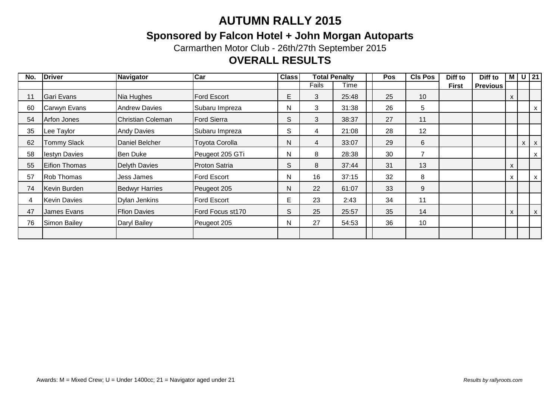## **Sponsored by Falcon Hotel + John Morgan Autoparts**

Carmarthen Motor Club - 26th/27th September 2015

## **OVERALL RESULTS**

| No. | <b>Driver</b>        | <b>Navigator</b>         | Car                   | <b>Class</b> |       | <b>Total Penalty</b> | Pos | <b>CIs Pos</b> | Diff to      | Diff to         |   | $M$ U 21 |            |
|-----|----------------------|--------------------------|-----------------------|--------------|-------|----------------------|-----|----------------|--------------|-----------------|---|----------|------------|
|     |                      |                          |                       |              | Fails | Time                 |     |                | <b>First</b> | <b>Previous</b> |   |          |            |
| 11  | Gari Evans           | Nia Hughes               | <b>Ford Escort</b>    | E            | 3     | 25:48                | 25  | 10             |              |                 | X |          |            |
| 60  | Carwyn Evans         | <b>Andrew Davies</b>     | Subaru Impreza        | N            | 3     | 31:38                | 26  | 5              |              |                 |   |          | X          |
| 54  | <b>Arfon Jones</b>   | <b>Christian Coleman</b> | <b>Ford Sierra</b>    | S            | 3     | 38:37                | 27  | 11             |              |                 |   |          |            |
| 35  | Lee Taylor           | <b>Andy Davies</b>       | Subaru Impreza        | S            | 4     | 21:08                | 28  | 12             |              |                 |   |          |            |
| 62  | <b>Tommy Slack</b>   | Daniel Belcher           | <b>Toyota Corolla</b> | N            | 4     | 33:07                | 29  | 6              |              |                 |   |          | $X \mid X$ |
| 58  | lestyn Davies        | <b>Ben Duke</b>          | Peugeot 205 GTi       | N            | 8     | 28:38                | 30  | 7              |              |                 |   |          | X          |
| 55  | <b>Eifion Thomas</b> | Delyth Davies            | <b>Proton Satria</b>  | S            | 8     | 37:44                | 31  | 13             |              |                 | x |          |            |
| 57  | <b>Rob Thomas</b>    | Jess James               | <b>Ford Escort</b>    | N            | 16    | 37:15                | 32  | 8              |              |                 | X |          | X          |
| 74  | Kevin Burden         | <b>Bedwyr Harries</b>    | Peugeot 205           | $\mathsf{N}$ | 22    | 61:07                | 33  | 9              |              |                 |   |          |            |
|     | <b>Kevin Davies</b>  | <b>Dylan Jenkins</b>     | Ford Escort           | E            | 23    | 2:43                 | 34  | 11             |              |                 |   |          |            |
| 47  | James Evans          | <b>Ffion Davies</b>      | Ford Focus st170      |              |       | 25:57                | 35  | 14             |              |                 | X |          | X          |
| 76  | Simon Bailey         | Daryl Bailey             | Peugeot 205           | N            | 27    | 54:53                | 36  | 10             |              |                 |   |          |            |
|     |                      |                          |                       |              |       |                      |     |                |              |                 |   |          |            |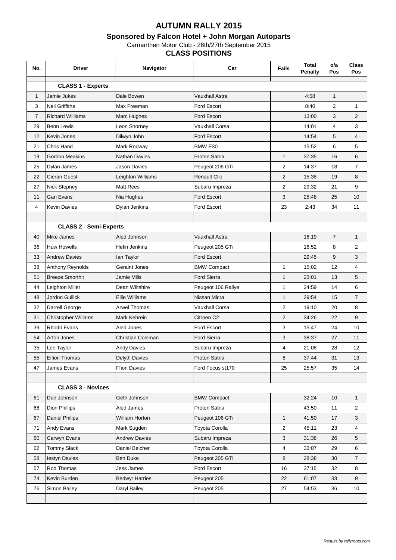#### **Sponsored by Falcon Hotel + John Morgan Autoparts**

Carmarthen Motor Club - 26th/27th September 2015

#### **CLASS POSITIONS**

| No.            | <b>Driver</b>                 | Navigator                | Car                   | <b>Fails</b>   | <b>Total</b><br><b>Penalty</b> | o/a<br>Pos     | <b>Class</b><br>Pos |
|----------------|-------------------------------|--------------------------|-----------------------|----------------|--------------------------------|----------------|---------------------|
|                | <b>CLASS 1 - Experts</b>      |                          |                       |                |                                |                |                     |
| $\mathbf{1}$   | Jamie Jukes                   | Dale Bowen               | Vauxhall Astra        |                | 4:58                           | $\mathbf{1}$   |                     |
| 3              | <b>Neil Griffiths</b>         | Max Freeman              | Ford Escort           |                | 8:40                           | 2              | $\mathbf{1}$        |
| $\overline{7}$ | <b>Richard Williams</b>       | Marc Hughes              | <b>Ford Escort</b>    |                | 13:00                          | 3              | $\overline{2}$      |
| 29             | <b>Benn Lewis</b>             | Leon Shorney             | Vauxhall Corsa        |                | 14:01                          | 4              | 3                   |
| 12             | Kevin Jones                   | Dilwyn John              | <b>Ford Escort</b>    |                | 14:54                          | 5              | $\overline{4}$      |
| 21             | <b>Chris Hand</b>             | Mark Rodway              | BMW E30               |                | 15:52                          | 6              | 5                   |
| 19             | <b>Gordon Meakins</b>         | <b>Nathan Davies</b>     | Proton Satria         | $\mathbf{1}$   | 37:35                          | 16             | 6                   |
| 25             | Dylan James                   | Jason Davies             | Peugeot 206 GTi       | 2              | 14:37                          | 18             | $\overline{7}$      |
| 22             | Cieran Guest                  | Leighton Williams        | <b>Renault Clio</b>   | $\overline{2}$ | 15:38                          | 19             | 8                   |
| 27             | <b>Nick Stepney</b>           | <b>Matt Rees</b>         | Subaru Impreza        | $\overline{2}$ | 29:32                          | 21             | 9                   |
| 11             | Gari Evans                    | Nia Hughes               | <b>Ford Escort</b>    | 3              | 25:48                          | 25             | 10                  |
| 4              | <b>Kevin Davies</b>           | <b>Dylan Jenkins</b>     | Ford Escort           | 23             | 2:43                           | 34             | 11                  |
|                |                               |                          |                       |                |                                |                |                     |
|                | <b>CLASS 2 - Semi-Experts</b> |                          |                       |                |                                |                |                     |
| 40             | <b>Mike James</b>             | Aled Johnson             | <b>Vauxhall Astra</b> |                | 16:19                          | $\overline{7}$ | $\mathbf{1}$        |
| 36             | <b>Huw Howells</b>            | Hefin Jenkins            | Peugeot 205 GTi       |                | 16:52                          | 8              | $\overline{2}$      |
| 33             | <b>Andrew Davies</b>          | lan Taylor               | <b>Ford Escort</b>    |                | 29:45                          | 9              | 3                   |
| 38             | Anthony Reynolds              | Geraint Jones            | <b>BMW Compact</b>    | 1              | 15:02                          | 12             | 4                   |
| 51             | <b>Breeze Smorthit</b>        | Jamie Mills              | <b>Ford Sierra</b>    | $\mathbf{1}$   | 23:01                          | 13             | 5                   |
| 44             | Leighton Miller               | Dean Wiltshire           | Peugeot 106 Rallye    | 1              | 24:59                          | 14             | 6                   |
| 48             | Jordon Gullick                | <b>Ellie Williams</b>    | Nissan Micra          | $\mathbf{1}$   | 29:54                          | 15             | $\overline{7}$      |
| 32             | Darrell George                | <b>Arwel Thomas</b>      | Vauxhall Corsa        | $\overline{2}$ | 19:10                          | 20             | 8                   |
| 31             | Christopher Willams           | Mark Kehrein             | Citroen C2            | $\overline{2}$ | 34:26                          | 22             | 9                   |
| 39             | <b>Rhodri Evans</b>           | Aled Jones               | Ford Escort           | 3              | 15:47                          | 24             | 10                  |
| 54             | Arfon Jones                   | <b>Christian Coleman</b> | Ford Sierra           | 3              | 38:37                          | 27             | 11                  |
| 35             | Lee Taylor                    | <b>Andy Davies</b>       | Subaru Impreza        | 4              | 21:08                          | 28             | 12                  |
| 55             | <b>Eifion Thomas</b>          | <b>Delyth Davies</b>     | <b>Proton Satria</b>  | 8              | 37:44                          | 31             | 13                  |
| 47             | James Evans                   | <b>Ffion Davies</b>      | Ford Focus st170      | 25             | 25:57                          | 35             | 14                  |
|                |                               |                          |                       |                |                                |                |                     |
|                | <b>CLASS 3 - Novices</b>      |                          |                       |                |                                |                |                     |
| 61             | Dan Johnson                   | Geth Johnson             | <b>BMW Compact</b>    |                | 32:24                          | 10             | $\mathbf{1}$        |
| 68             | <b>Dion Phillips</b>          | Aled James               | Proton Satria         |                | 43:50                          | 11             | $\overline{2}$      |
| 67             | <b>Daniel Philips</b>         | William Horton           | Peugeot 106 GTi       | $\mathbf{1}$   | 41:50                          | 17             | 3                   |
| 71             | Andy Evans                    | Mark Sugden              | Toyota Corolla        | $\overline{c}$ | 45:11                          | 23             | 4                   |
| 60             | Carwyn Evans                  | <b>Andrew Davies</b>     | Subaru Impreza        | 3              | 31:38                          | 26             | 5                   |
| 62             | <b>Tommy Slack</b>            | Daniel Belcher           | Toyota Corolla        | 4              | 33:07                          | 29             | 6                   |
| 58             | lestyn Davies                 | <b>Ben Duke</b>          | Peugeot 205 GTi       | 8              | 28:38                          | 30             | $\overline{7}$      |
| 57             | Rob Thomas                    | Jess James               | Ford Escort           | 16             | 37:15                          | 32             | 8                   |
| 74             | Kevin Burden                  | <b>Bedwyr Harries</b>    | Peugeot 205           | 22             | 61:07                          | 33             | 9                   |
| 76             | Simon Bailey                  | Daryl Bailey             | Peugeot 205           | 27             | 54:53                          | 36             | 10                  |
|                |                               |                          |                       |                |                                |                |                     |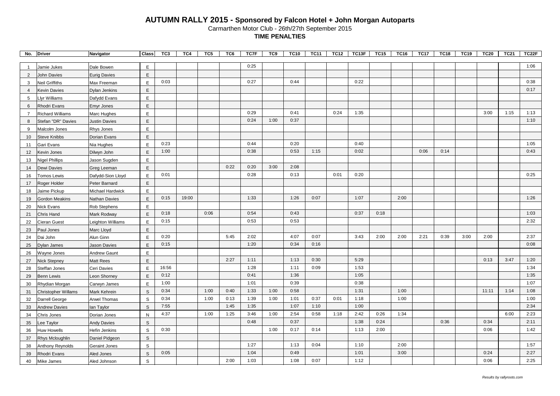| No.             | <b>Driver</b>           | Navigator            | <b>Class</b> | TC3   | TC4   | TC5  | TC6  | TC7F | TC9  | <b>TC10</b> | <b>TC11</b> | <b>TC12</b> | TC13F | <b>TC15</b> | <b>TC16</b> | <b>TC17</b> | <b>TC18</b> | <b>TC19</b> | <b>TC20</b> | <b>TC21</b> | TC22F |
|-----------------|-------------------------|----------------------|--------------|-------|-------|------|------|------|------|-------------|-------------|-------------|-------|-------------|-------------|-------------|-------------|-------------|-------------|-------------|-------|
| -1              | Jamie Jukes             | Dale Bowen           | Ε            |       |       |      |      | 0:25 |      |             |             |             |       |             |             |             |             |             |             |             | 1:06  |
| $\overline{2}$  | <b>John Davies</b>      | <b>Eurig Davies</b>  | E            |       |       |      |      |      |      |             |             |             |       |             |             |             |             |             |             |             |       |
| 3               | <b>Neil Griffiths</b>   | Max Freeman          | E            | 0:03  |       |      |      | 0:27 |      | 0:44        |             |             | 0:22  |             |             |             |             |             |             |             | 0:38  |
| 4               | <b>Kevin Davies</b>     | Dylan Jenkins        | E            |       |       |      |      |      |      |             |             |             |       |             |             |             |             |             |             |             | 0:17  |
| 5               | Llyr Williams           | Dafydd Evans         | E            |       |       |      |      |      |      |             |             |             |       |             |             |             |             |             |             |             |       |
| 6               | Rhodri Evans            | <b>Emyr Jones</b>    | $\mathsf E$  |       |       |      |      |      |      |             |             |             |       |             |             |             |             |             |             |             |       |
| $\overline{7}$  | <b>Richard Williams</b> | Marc Hughes          | E            |       |       |      |      | 0:29 |      | 0:41        |             | 0:24        | 1:35  |             |             |             |             |             | 3:00        | 1:15        | 1:13  |
| 8               | Stefan "DR" Davies      | <b>Justin Davies</b> | E            |       |       |      |      | 0:24 | 1:00 | 0:37        |             |             |       |             |             |             |             |             |             |             | 1:10  |
| 9               | Malcolm Jones           | Rhys Jones           | E            |       |       |      |      |      |      |             |             |             |       |             |             |             |             |             |             |             |       |
| 10 <sup>°</sup> | <b>Steve Knibbs</b>     | Dorian Evans         | E            |       |       |      |      |      |      |             |             |             |       |             |             |             |             |             |             |             |       |
| 11              | Gari Evans              | Nia Hughes           | E            | 0:23  |       |      |      | 0:44 |      | 0:20        |             |             | 0:40  |             |             |             |             |             |             |             | 1:05  |
| 12              | Kevin Jones             | Dilwyn John          | $\mathsf E$  | 1:00  |       |      |      | 0:38 |      | 0:53        | 1:15        |             | 0:02  |             |             | 0:06        | 0:14        |             |             |             | 0:43  |
| 13              | Nigel Phillips          | Jason Sugden         | Ε            |       |       |      |      |      |      |             |             |             |       |             |             |             |             |             |             |             |       |
| 14              | Dewi Davies             | Greg Leeman          | $\mathsf E$  |       |       |      | 0:22 | 0:20 | 3:00 | 2:08        |             |             |       |             |             |             |             |             |             |             |       |
| 16              | Tomos Lewis             | Dafydd-Sion Lloyd    | E            | 0:01  |       |      |      | 0:28 |      | 0:13        |             | 0:01        | 0:20  |             |             |             |             |             |             |             | 0:25  |
| 17              | Roger Holder            | Peter Barnard        | E            |       |       |      |      |      |      |             |             |             |       |             |             |             |             |             |             |             |       |
| 18              | Jaime Pickup            | Michael Hardwick     | E            |       |       |      |      |      |      |             |             |             |       |             |             |             |             |             |             |             |       |
| 19              | Gordon Meakins          | Nathan Davies        | $\mathsf E$  | 0:15  | 19:00 |      |      | 1:33 |      | 1:26        | 0:07        |             | 1:07  |             | 2:00        |             |             |             |             |             | 1:26  |
| 20              | <b>Nick Evans</b>       | Rob Stephens         | Ε            |       |       |      |      |      |      |             |             |             |       |             |             |             |             |             |             |             |       |
| 21              | Chris Hand              | Mark Rodway          | $\mathsf E$  | 0:18  |       | 0:06 |      | 0:54 |      | 0:43        |             |             | 0:37  | 0:18        |             |             |             |             |             |             | 1:03  |
| 22              | Cieran Guest            | Leighton Williams    | E            | 0:15  |       |      |      | 0:53 |      | 0:53        |             |             |       |             |             |             |             |             |             |             | 2:32  |
| 23              | Paul Jones              | Marc Lloyd           | $\mathsf E$  |       |       |      |      |      |      |             |             |             |       |             |             |             |             |             |             |             |       |
| 24              | Dai John                | Alun Ginn            | E            | 0:20  |       |      | 5:45 | 2:02 |      | 4:07        | 0:07        |             | 3:43  | 2:00        | 2:00        | 2:21        | 0:39        | 3:00        | 2:00        |             | 2:37  |
| 25              | Dylan James             | Jason Davies         | E            | 0:15  |       |      |      | 1:20 |      | 0:34        | 0:16        |             |       |             |             |             |             |             |             |             | 0:08  |
| 26              | Wayne Jones             | Andrew Gaunt         | E            |       |       |      |      |      |      |             |             |             |       |             |             |             |             |             |             |             |       |
| 27              | <b>Nick Stepney</b>     | Matt Rees            | E            |       |       |      | 2:27 | 1:11 |      | 1:13        | 0:30        |             | 5:29  |             |             |             |             |             | 0:13        | 3:47        | 1:20  |
| 28              | Steffan Jones           | Ceri Davies          | Ε            | 16:56 |       |      |      | 1:28 |      | 1:11        | 0:09        |             | 1:53  |             |             |             |             |             |             |             | 1:34  |
| 29              | <b>Benn Lewis</b>       | Leon Shorney         | E            | 0:12  |       |      |      | 0:41 |      | 1:36        |             |             | 1:05  |             |             |             |             |             |             |             | 1:35  |
| 30              | Rhydian Morgan          | Carwyn James         | $\mathsf E$  | 1:00  |       |      |      | 1:01 |      | 0:39        |             |             | 0:38  |             |             |             |             |             |             |             | 1:07  |
| 31              | Christopher Willams     | Mark Kehrein         | $\mathsf S$  | 0:34  |       | 1:00 | 0:40 | 1:33 | 1:00 | 0:58        |             |             | 1:31  |             | 1:00        |             |             |             | 11:11       | 1:14        | 1:08  |
| 32              | Darrell George          | Arwel Thomas         | S            | 0:34  |       | 1:00 | 0:13 | 1:39 | 1:00 | 1:01        | 0:37        | 0:01        | 1:18  |             | 1:00        |             |             |             |             |             | 1:00  |
| 33              | <b>Andrew Davies</b>    | lan Taylor           | $\mathsf S$  | 7:55  |       |      | 1:45 | 1:35 |      | 1:07        | 1:10        |             | 1:00  |             |             |             |             |             |             |             | 2:34  |
| 34              | Chris Jones             | Dorian Jones         | ${\sf N}$    | 4:37  |       | 1:00 | 1:25 | 3:46 | 1:00 | 2:54        | 0:58        | 1:18        | 2:42  | 0:26        | 1:34        |             |             |             |             | 6:00        | 2:23  |
| 35              | Lee Taylor              | <b>Andy Davies</b>   | S            |       |       |      |      | 0:48 |      | 0:37        |             |             | 1:38  | 0:24        |             |             | 0:36        |             | 0:34        |             | 2:11  |
| 36              | Huw Howells             | Hefin Jenkins        | $\mathsf S$  | 0:30  |       |      |      |      | 1:00 | 0:17        | 0:14        |             | 1:13  | 2:00        |             |             |             |             | 0:06        |             | 1:42  |
| 37              | Rhys Mcloughlin         | Daniel Pidgeon       | $\mathsf S$  |       |       |      |      |      |      |             |             |             |       |             |             |             |             |             |             |             |       |
| 38              | Anthony Reynolds        | Geraint Jones        | S            |       |       |      |      | 1:27 |      | 1:13        | 0:04        |             | 1:10  |             | 2:00        |             |             |             |             |             | 1:57  |
| 39              | Rhodri Evans            | Aled Jones           | $\mathsf S$  | 0:05  |       |      |      | 1:04 |      | 0:49        |             |             | 1:01  |             | 3:00        |             |             |             | 0:24        |             | 2:27  |
| 40              | Mike James              | Aled Johnson         | S            |       |       |      | 2:00 | 1:03 |      | 1:08        | 0:07        |             | 1:12  |             |             |             |             |             | 0:06        |             | 2:25  |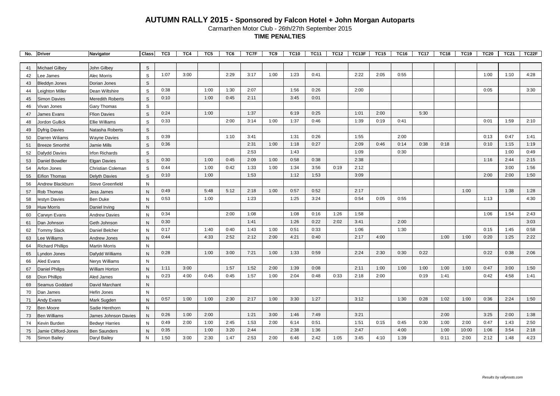| No.      | <b>Driver</b>                        | Navigator                           | <b>Class</b> | TC3  | TC4  | TC5  | TC6  | TC7F | TC9  | <b>TC10</b> | <b>TC11</b> | <b>TC12</b> | TC13F | <b>TC15</b> | <b>TC16</b> | <b>TC17</b> | <b>TC18</b> | <b>TC19</b> | <b>TC20</b> | <b>TC21</b> | TC22F |
|----------|--------------------------------------|-------------------------------------|--------------|------|------|------|------|------|------|-------------|-------------|-------------|-------|-------------|-------------|-------------|-------------|-------------|-------------|-------------|-------|
|          |                                      |                                     |              |      |      |      |      |      |      |             |             |             |       |             |             |             |             |             |             |             |       |
| 41       | Michael Gilbey                       | John Gilbey                         | S            |      |      |      |      |      |      |             |             |             |       |             |             |             |             |             |             |             |       |
| 42       | ee James                             | Alec Morris                         | S            | 1:07 | 3:00 |      | 2:29 | 3:17 | 1:00 | 1:23        | 0:41        |             | 2:22  | 2:05        | 0:55        |             |             |             | 1:00        | 1:10        | 4:28  |
| 43       | <b>Bleddyn Jones</b>                 | Dorian Jones                        | $\mathsf S$  |      |      |      |      |      |      |             |             |             |       |             |             |             |             |             |             |             |       |
| 44       | eighton Miller                       | Dean Wiltshire                      | $\mathbf S$  | 0:38 |      | 1:00 | 1:30 | 2:07 |      | 1:56        | 0:26        |             | 2:00  |             |             |             |             |             | 0:05        |             | 3:30  |
| 45       | Simon Davies                         | <b>Meredith Roberts</b>             | $\mathsf S$  | 0:10 |      | 1:00 | 0:45 | 2:11 |      | 3:45        | 0:01        |             |       |             |             |             |             |             |             |             |       |
| 46       | Vivan Jones                          | Gary Thomas                         | $\mathbb S$  |      |      |      |      |      |      |             |             |             |       |             |             |             |             |             |             |             |       |
| 47       | James Evans                          | <b>Ffion Davies</b>                 | $\mathsf s$  | 0:24 |      | 1:00 |      | 1:37 |      | 6:19        | 0:25        |             | 1:01  | 2:00        |             | 5:30        |             |             |             |             |       |
| 48       | Jordon Gullick                       | <b>Ellie Williams</b>               | S            | 0:33 |      |      | 2:00 | 3:14 | 1:00 | 1:37        | 0:46        |             | 1:39  | 0:19        | 0:41        |             |             |             | 0:01        | 1:59        | 2:10  |
| 49       | <b>Dyfrig Davies</b>                 | Natasha Roberts                     | $\mathbb S$  |      |      |      |      |      |      |             |             |             |       |             |             |             |             |             |             |             |       |
| 50       | Darren Wiliams                       | <b>Wayne Davies</b>                 | S            | 0:39 |      |      | 1:10 | 3:41 |      | 1:31        | 0:26        |             | 1:55  |             | 2:00        |             |             |             | 0:13        | 0:47        | 1:41  |
| 51       | <b>Breeze Smorthit</b>               | Jamie Mills                         | $\mathsf S$  | 0:36 |      |      |      | 2:31 | 1:00 | 1:18        | 0:27        |             | 2:09  | 0:46        | 0:14        | 0:38        | 0:18        |             | 0:10        | 1:15        | 1:19  |
| 52       | Dafydd Davies                        | <b>Irfon Richards</b>               | $\mathbb S$  |      |      |      |      | 2:53 |      | 1:43        |             |             | 1:09  |             | 0:30        |             |             |             |             | 1:00        | 0:49  |
| 53       | Daniel Bowdler                       | <b>Elgan Davies</b>                 | S            | 0:30 |      | 1:00 | 0:45 | 2:09 | 1:00 | 0:58        | 0:38        |             | 2:38  |             |             |             |             |             | 1:16        | 2:44        | 2:15  |
| 54       | Arfon Jones                          | Christian Coleman                   | S            | 0:44 |      | 1:00 | 0:42 | 1:33 | 1:00 | 1:34        | 3:56        | 0:19        | 2:12  |             |             |             |             |             |             | 3:00        | 1:56  |
| 55       | Eifion Thomas                        | Delyth Davies                       | $\mathsf S$  | 0:10 |      | 1:00 |      | 1:53 |      | 1:12        | 1:53        |             | 3:09  |             |             |             |             |             | 2:00        | 2:00        | 1:50  |
| 56       | Andrew Blackburn                     | <b>Steve Greenfield</b>             | $\mathsf{N}$ |      |      |      |      |      |      |             |             |             |       |             |             |             |             |             |             |             |       |
| 57       | Rob Thomas                           | Jess James                          | $\mathsf{N}$ | 0:49 |      | 5:48 | 5:12 | 2:18 | 1:00 | 0:57        | 0:52        |             | 2:17  |             |             |             |             | 1:00        |             | 1:38        | 1:28  |
| 58       | estyn Davies                         | <b>Ben Duke</b>                     | $\mathsf{N}$ | 0:53 |      | 1:00 |      | 1:23 |      | 1:25        | 3:24        |             | 0:54  | 0:05        | 0:55        |             |             |             | 1:13        |             | 4:30  |
| 59       | Huw Morris                           | Daniel Irving                       | N            |      |      |      |      |      |      |             |             |             |       |             |             |             |             |             |             |             |       |
| 60       | Carwyn Evans                         | <b>Andrew Davies</b>                | $\mathsf{N}$ | 0:34 |      |      | 2:00 | 1:08 |      | 1:08        | 0:16        | 1:26        | 1:58  |             |             |             |             |             | 1:06        | 1:54        | 2:43  |
| 61       | Dan Johnson                          | Geth Johnson                        | N            | 0:30 |      |      |      | 1:41 |      | 1:26        | 0:22        | 2:02        | 3:41  |             | 2:00        |             |             |             |             |             | 3:03  |
| 62       | <b>Tommy Slack</b>                   | Daniel Belcher                      | $\mathsf{N}$ | 0:17 |      | 1:40 | 0:40 | 1:43 | 1:00 | 0:51        | 0:33        |             | 1:06  |             | 1:30        |             |             |             | 0:15        | 1:45        | 0:58  |
| 63       | ee Williams                          | Andrew Jones                        | $\mathsf{N}$ | 0:44 |      | 4:33 | 2:52 | 2:12 | 2:00 | 4:21        | 0:40        |             | 2:17  | 4:00        |             |             | 1:00        | 1:00        | 0:20        | 1:25        | 2:22  |
| 64       | <b>Richard Phillips</b>              | <b>Martin Morris</b>                | N            |      |      |      |      |      |      |             |             |             |       |             |             |             |             |             |             |             |       |
| 65       | yndon Jones                          | Dafydd Williams                     | $\mathsf{N}$ | 0:28 |      | 1:00 | 3:00 | 7:21 | 1:00 | 1:33        | 0:59        |             | 2:24  | 2:30        | 0:30        | 0:22        |             |             | 0:22        | 0:38        | 2:06  |
| 66       | Aled Evans                           | Nerys Williams                      | N            |      |      |      |      |      |      |             |             |             |       |             |             |             |             |             |             |             |       |
| 67       | Daniel Philips                       | William Horton                      | N            | 1:11 | 3:00 |      | 1:57 | 1:52 | 2:00 | 1:39        | 0:08        |             | 2:11  | 1:00        | 1:00        | 1:00        | 1:00        | 1:00        | 0:47        | 3:00        | 1:50  |
| 68       | Dion Phillips                        | Aled James                          | N            | 0:23 | 4:00 | 0:45 | 0:45 | 1:57 | 1:00 | 2:04        | 0:48        | 0:33        | 2:18  | 2:00        |             | 0:19        | 1:41        |             | 0:42        | 4:58        | 1:41  |
| 69       | Seamus Goddard                       | David Marchant                      | N            |      |      |      |      |      |      |             |             |             |       |             |             |             |             |             |             |             |       |
| 70       | Dan James                            | Hefin Jones                         | N            |      |      |      |      |      |      |             |             |             |       |             |             |             |             |             |             |             |       |
| 71       | Andy Evans                           | Mark Sugden                         | $\mathsf{N}$ | 0:57 | 1:00 | 1:00 | 2:30 | 2:17 | 1:00 | 3:30        | 1:27        |             | 3:12  |             | 1:30        | 0:28        | 1:02        | 1:00        | 0:36        | 2:24        | 1:50  |
| 72       | Ben Moore                            | Sadie Henthorn                      | $\mathsf{N}$ |      |      |      |      |      |      |             |             |             |       |             |             |             |             |             |             |             |       |
| 73       | Ben Williams                         | James Johnson Davies                | $\mathsf{N}$ | 0:26 | 1:00 | 2:00 |      | 1:21 | 3:00 | 1:46        | 7:49        |             | 3:21  |             |             |             | 2:00        |             | 3:25        | 2:00        | 1:38  |
| 74       | Kevin Burden                         | <b>Bedwyr Harries</b>               | $\mathsf{N}$ | 0:49 | 2:00 | 1:00 | 2:45 | 1:53 | 2:00 | 6:14        | 0:51        |             | 1:51  | 0:15        | 0:45        | 0:30        | 1:00        | 2:00        | 0:47        | 1:43        | 2:50  |
|          |                                      |                                     | N            | 0:35 |      | 1:00 | 3:20 | 2:44 |      | 2:38        | 1:36        |             | 2:47  |             | 4:00        |             | 1:00        | 10:00       | 1:06        | 3:54        | 2:18  |
| 75<br>76 | Jamie Clifford-Jones<br>Simon Bailey | <b>Ben Saunders</b><br>Daryl Bailey | ${\sf N}$    | 1:50 | 3:00 | 2:30 | 1:47 | 2:53 | 2:00 | 6:46        | 2:42        | 1:05        | 3:45  | 4:10        | 1:39        |             | 0:11        | 2:00        | 2:12        | 1:48        | 4:23  |
|          |                                      |                                     |              |      |      |      |      |      |      |             |             |             |       |             |             |             |             |             |             |             |       |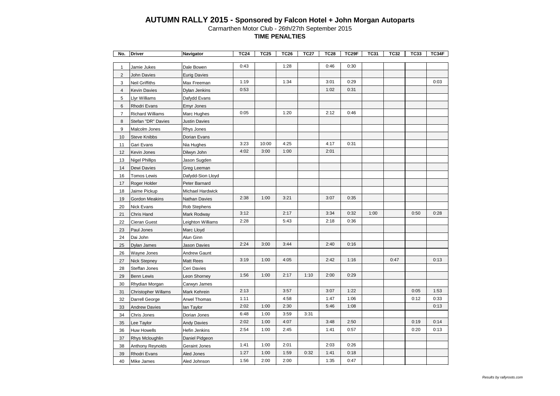| No.            | <b>Driver</b>              | Navigator            | <b>TC24</b> | TC25  | <b>TC26</b> | <b>TC27</b> | <b>TC28</b> | TC29F | <b>TC31</b> | <b>TC32</b> | TC33 | TC34F |
|----------------|----------------------------|----------------------|-------------|-------|-------------|-------------|-------------|-------|-------------|-------------|------|-------|
|                |                            |                      | 0:43        |       | 1:28        |             | 0:46        | 0:30  |             |             |      |       |
| $\mathbf{1}$   | Jamie Jukes                | Dale Bowen           |             |       |             |             |             |       |             |             |      |       |
| $\overline{c}$ | <b>John Davies</b>         | <b>Eurig Davies</b>  | 1:19        |       | 1:34        |             | 3:01        | 0:29  |             |             |      | 0:03  |
| 3              | <b>Neil Griffiths</b>      | Max Freeman          | 0:53        |       |             |             | 1:02        | 0:31  |             |             |      |       |
| $\overline{4}$ | <b>Kevin Davies</b>        | Dylan Jenkins        |             |       |             |             |             |       |             |             |      |       |
| 5              | Llyr Williams              | Dafydd Evans         |             |       |             |             |             |       |             |             |      |       |
| 6              | Rhodri Evans               | Emyr Jones           |             |       |             |             |             |       |             |             |      |       |
| $\overline{7}$ | <b>Richard Williams</b>    | Marc Hughes          | 0:05        |       | 1:20        |             | 2:12        | 0:46  |             |             |      |       |
| 8              | Stefan "DR" Davies         | <b>Justin Davies</b> |             |       |             |             |             |       |             |             |      |       |
| 9              | Malcolm Jones              | Rhys Jones           |             |       |             |             |             |       |             |             |      |       |
| 10             | <b>Steve Knibbs</b>        | Dorian Evans         |             |       |             |             |             |       |             |             |      |       |
| 11             | Gari Evans                 | Nia Hughes           | 3:23        | 10:00 | 4:25        |             | 4:17        | 0:31  |             |             |      |       |
| 12             | Kevin Jones                | Dilwyn John          | 4:02        | 3:00  | 1:00        |             | 2:01        |       |             |             |      |       |
| 13             | <b>Nigel Phillips</b>      | Jason Sugden         |             |       |             |             |             |       |             |             |      |       |
| 14             | Dewi Davies                | Greg Leeman          |             |       |             |             |             |       |             |             |      |       |
| 16             | <b>Tomos Lewis</b>         | Dafydd-Sion Lloyd    |             |       |             |             |             |       |             |             |      |       |
| 17             | Roger Holder               | Peter Barnard        |             |       |             |             |             |       |             |             |      |       |
| 18             | Jaime Pickup               | Michael Hardwick     |             |       |             |             |             |       |             |             |      |       |
| 19             | <b>Gordon Meakins</b>      | <b>Nathan Davies</b> | 2:38        | 1:00  | 3:21        |             | 3:07        | 0:35  |             |             |      |       |
| 20             | Nick Evans                 | Rob Stephens         |             |       |             |             |             |       |             |             |      |       |
| 21             | Chris Hand                 | Mark Rodway          | 3:12        |       | 2:17        |             | 3:34        | 0:32  | 1:00        |             | 0:50 | 0:28  |
| 22             | Cieran Guest               | Leighton Williams    | 2:28        |       | 5:43        |             | 2:18        | 0:36  |             |             |      |       |
| 23             | Paul Jones                 | Marc Lloyd           |             |       |             |             |             |       |             |             |      |       |
| 24             | Dai John                   | Alun Ginn            |             |       |             |             |             |       |             |             |      |       |
| 25             | Dylan James                | Jason Davies         | 2:24        | 3:00  | 3:44        |             | 2:40        | 0:16  |             |             |      |       |
| 26             | Wayne Jones                | <b>Andrew Gaunt</b>  |             |       |             |             |             |       |             |             |      |       |
| 27             | <b>Nick Stepney</b>        | <b>Matt Rees</b>     | 3:19        | 1:00  | 4:05        |             | 2:42        | 1:16  |             | 0:47        |      | 0:13  |
| 28             | Steffan Jones              | Ceri Davies          |             |       |             |             |             |       |             |             |      |       |
| 29             | <b>Benn Lewis</b>          | Leon Shorney         | 1:56        | 1:00  | 2:17        | 1:10        | 2:00        | 0:29  |             |             |      |       |
| 30             | Rhydian Morgan             | Carwyn James         |             |       |             |             |             |       |             |             |      |       |
| 31             | <b>Christopher Willams</b> | Mark Kehrein         | 2:13        |       | 3:57        |             | 3:07        | 1:22  |             |             | 0:05 | 1:53  |
| 32             | Darrell George             | <b>Arwel Thomas</b>  | 1:11        |       | 4:58        |             | 1:47        | 1:06  |             |             | 0:12 | 0:33  |
| 33             | <b>Andrew Davies</b>       | lan Taylor           | 2:02        | 1:00  | 2:30        |             | 5:46        | 1:08  |             |             |      | 0:13  |
| 34             | Chris Jones                | Dorian Jones         | 6:48        | 1:00  | 3:59        | 3:31        |             |       |             |             |      |       |
| 35             | Lee Taylor                 | <b>Andy Davies</b>   | 2:02        | 1:00  | 4:07        |             | 3:48        | 2:50  |             |             | 0:19 | 0:14  |
| 36             | Huw Howells                | Hefin Jenkins        | 2:54        | 1:00  | 2:45        |             | 1:41        | 0:57  |             |             | 0:20 | 0:13  |
| 37             | Rhys Mcloughlin            | Daniel Pidgeon       |             |       |             |             |             |       |             |             |      |       |
| 38             | Anthony Reynolds           | Geraint Jones        | 1:41        | 1:00  | 2:01        |             | 2:03        | 0:26  |             |             |      |       |
| 39             | Rhodri Evans               | Aled Jones           | 1:27        | 1:00  | 1:59        | 0:32        | 1:41        | 0:18  |             |             |      |       |
| 40             | <b>Mike James</b>          | Aled Johnson         | 1:56        | 2:00  | 2:00        |             | 1:35        | 0:47  |             |             |      |       |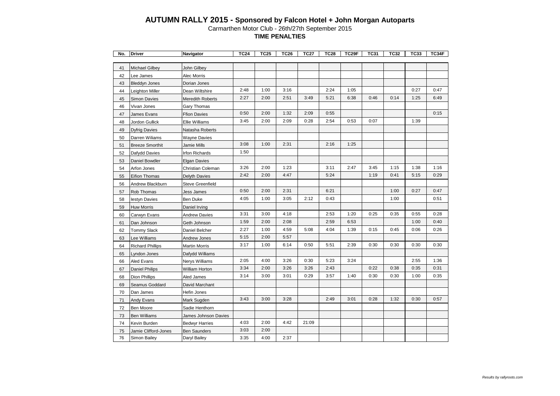| 41<br><b>Michael Gilbey</b><br>John Gilbey<br>42<br>Lee James<br>Alec Morris                                          | 0:27<br>0:47 |
|-----------------------------------------------------------------------------------------------------------------------|--------------|
|                                                                                                                       |              |
|                                                                                                                       |              |
|                                                                                                                       |              |
| 43<br><b>Bleddyn Jones</b><br>Dorian Jones                                                                            |              |
| 2:48<br>1:00<br>2:24<br>3:16<br>1:05<br>44<br>Leighton Miller<br>Dean Wiltshire                                       |              |
| 2:27<br>2:00<br>2:51<br>3:49<br>5:21<br>6:38<br>0:46<br>0:14<br>45<br><b>Simon Davies</b><br><b>Meredith Roberts</b>  | 1:25<br>6:49 |
| 46<br>Vivan Jones<br>Gary Thomas                                                                                      |              |
| 0:50<br>1:32<br>2:09<br>0:55<br>2:00<br>47<br>James Evans<br><b>Ffion Davies</b>                                      | 0:15         |
| 3:45<br>2:00<br>2:09<br>0:28<br>2:54<br>0:07<br>0:53<br>48<br>Jordon Gullick<br><b>Ellie Williams</b>                 | 1:39         |
| 49<br><b>Dyfrig Davies</b><br>Natasha Roberts                                                                         |              |
| 50<br>Darren Wiliams<br>Wayne Davies                                                                                  |              |
| 3:08<br>1:00<br>2:31<br>2:16<br>1:25<br>51<br><b>Breeze Smorthit</b><br>Jamie Mills                                   |              |
| 1:50<br>52<br>Dafydd Davies<br>Irfon Richards                                                                         |              |
| 53<br>Daniel Bowdler<br><b>Elgan Davies</b>                                                                           |              |
| 3:26<br>2:00<br>1:23<br>3:11<br>2:47<br>3:45<br>1:15<br>54<br>Arfon Jones<br>Christian Coleman                        | 1:38<br>1:16 |
| 2:42<br>5:24<br>2:00<br>4:47<br>1:19<br>0:41<br>55<br>Eifion Thomas<br>Delyth Davies                                  | 5:15<br>0:29 |
| 56<br>Andrew Blackburn<br>Steve Greenfield                                                                            |              |
| 0:50<br>2:00<br>2:31<br>6:21<br>1:00<br>57<br>Rob Thomas<br>Jess James                                                | 0:27<br>0:47 |
| 4:05<br>1:00<br>3:05<br>2:12<br>0:43<br>1:00<br>58<br><b>Ben Duke</b><br>lestyn Davies                                | 0:51         |
| 59<br>Huw Morris<br>Daniel Irving                                                                                     |              |
| 3:31<br>3:00<br>4:18<br>2:53<br>1:20<br>0:25<br>0:35<br>60<br>Carwyn Evans<br><b>Andrew Davies</b>                    | 0:55<br>0:28 |
| 1:59<br>2:59<br>2:00<br>2:08<br>6:53<br>61<br>Dan Johnson<br>Geth Johnson                                             | 1:00<br>0:40 |
| 2:27<br>1:00<br>4:59<br>5:08<br>4:04<br>1:39<br>0:45<br>0:15<br>62<br><b>Tommy Slack</b><br>Daniel Belcher            | 0:06<br>0:26 |
| 5:15<br>2:00<br>5:57<br>63<br>Lee Williams<br>Andrew Jones                                                            |              |
| 3:17<br>1:00<br>6:14<br>0:50<br>5:51<br>2:39<br>0:30<br>0:30<br>64<br><b>Richard Phillips</b><br><b>Martin Morris</b> | 0:30<br>0:30 |
| 65<br>_yndon Jones<br>Dafydd Williams                                                                                 |              |
| 2:05<br>0:30<br>5:23<br>4:00<br>3:26<br>3:24<br>66<br>Aled Evans<br>Nerys Williams                                    | 2:55<br>1:36 |
| 3:34<br>2:00<br>3:26<br>3:26<br>2:43<br>0:22<br>0:38<br>67<br>Daniel Philips<br>William Horton                        | 0:35<br>0:31 |
| 3:14<br>3:00<br>3:01<br>0:29<br>3:57<br>1:40<br>0:30<br>0:30<br>68<br>Dion Phillips<br>Aled James                     | 1:00<br>0:35 |
| 69<br>Seamus Goddard<br>David Marchant                                                                                |              |
| 70<br>Dan James<br>Hefin Jones                                                                                        |              |
| 1:32<br>3:43<br>3:00<br>3:28<br>2:49<br>3:01<br>0:28<br>71<br>Andy Evans<br>Mark Sugden                               | 0:30<br>0:57 |
| 72<br>Ben Moore<br>Sadie Henthorn                                                                                     |              |
| 73<br>James Johnson Davies<br><b>Ben Williams</b>                                                                     |              |
| 4:03<br>2:00<br>4:42<br>21:09<br>74<br>Kevin Burden<br><b>Bedwyr Harries</b>                                          |              |
| 3:03<br>2:00<br>75<br>Jamie Clifford-Jones<br><b>Ben Saunders</b>                                                     |              |
| 3:35<br>4:00<br>2:37<br>76<br>Simon Bailey<br>Daryl Bailey                                                            |              |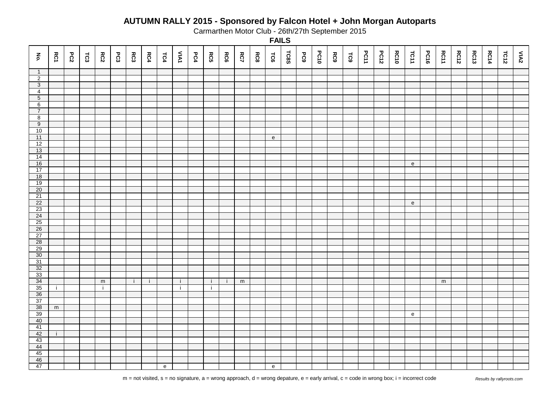Carmarthen Motor Club - 26th/27th September 2015

| $\mathbf{\tilde{e}}$ | RC1         | PC2 | $\mathsf{r}\mathsf{c}\mathsf{3}$ | RC2          | PC3 | $\mathsf{RC3}$ | RC4 | TC4                                        | <b>VAN</b> | PC4 | <b>RC5</b> | <b>RC6</b> | <b>RC7</b> | RC8 | TC6                                        | <b>TC8S</b> | <b>PC9</b> | <b>PC10</b> | RC9 | TC9 | <b>PC11</b> | <b>PC12</b> | <b>RC10</b> | TC11      | <b>PC16</b> | RC11      | <b>RC12</b> | <b>RC13</b> | <b>RC14</b> | TC12 | VIA2 |
|----------------------|-------------|-----|----------------------------------|--------------|-----|----------------|-----|--------------------------------------------|------------|-----|------------|------------|------------|-----|--------------------------------------------|-------------|------------|-------------|-----|-----|-------------|-------------|-------------|-----------|-------------|-----------|-------------|-------------|-------------|------|------|
| $\overline{1}$       |             |     |                                  |              |     |                |     |                                            |            |     |            |            |            |     |                                            |             |            |             |     |     |             |             |             |           |             |           |             |             |             |      |      |
| $\overline{2}$       |             |     |                                  |              |     |                |     |                                            |            |     |            |            |            |     |                                            |             |            |             |     |     |             |             |             |           |             |           |             |             |             |      |      |
| $\overline{3}$       |             |     |                                  |              |     |                |     |                                            |            |     |            |            |            |     |                                            |             |            |             |     |     |             |             |             |           |             |           |             |             |             |      |      |
| $\overline{4}$       |             |     |                                  |              |     |                |     |                                            |            |     |            |            |            |     |                                            |             |            |             |     |     |             |             |             |           |             |           |             |             |             |      |      |
| $\overline{5}$       |             |     |                                  |              |     |                |     |                                            |            |     |            |            |            |     |                                            |             |            |             |     |     |             |             |             |           |             |           |             |             |             |      |      |
| 6                    |             |     |                                  |              |     |                |     |                                            |            |     |            |            |            |     |                                            |             |            |             |     |     |             |             |             |           |             |           |             |             |             |      |      |
| $\overline{7}$       |             |     |                                  |              |     |                |     |                                            |            |     |            |            |            |     |                                            |             |            |             |     |     |             |             |             |           |             |           |             |             |             |      |      |
| $\infty$             |             |     |                                  |              |     |                |     |                                            |            |     |            |            |            |     |                                            |             |            |             |     |     |             |             |             |           |             |           |             |             |             |      |      |
| $\overline{9}$       |             |     |                                  |              |     |                |     |                                            |            |     |            |            |            |     |                                            |             |            |             |     |     |             |             |             |           |             |           |             |             |             |      |      |
| 10                   |             |     |                                  |              |     |                |     |                                            |            |     |            |            |            |     |                                            |             |            |             |     |     |             |             |             |           |             |           |             |             |             |      |      |
| 11                   |             |     |                                  |              |     |                |     |                                            |            |     |            |            |            |     | e                                          |             |            |             |     |     |             |             |             |           |             |           |             |             |             |      |      |
| 12                   |             |     |                                  |              |     |                |     |                                            |            |     |            |            |            |     |                                            |             |            |             |     |     |             |             |             |           |             |           |             |             |             |      |      |
| 13                   |             |     |                                  |              |     |                |     |                                            |            |     |            |            |            |     |                                            |             |            |             |     |     |             |             |             |           |             |           |             |             |             |      |      |
| 14                   |             |     |                                  |              |     |                |     |                                            |            |     |            |            |            |     |                                            |             |            |             |     |     |             |             |             |           |             |           |             |             |             |      |      |
| 16                   |             |     |                                  |              |     |                |     |                                            |            |     |            |            |            |     |                                            |             |            |             |     |     |             |             |             | e         |             |           |             |             |             |      |      |
| 17                   |             |     |                                  |              |     |                |     |                                            |            |     |            |            |            |     |                                            |             |            |             |     |     |             |             |             |           |             |           |             |             |             |      |      |
| 18                   |             |     |                                  |              |     |                |     |                                            |            |     |            |            |            |     |                                            |             |            |             |     |     |             |             |             |           |             |           |             |             |             |      |      |
| 19                   |             |     |                                  |              |     |                |     |                                            |            |     |            |            |            |     |                                            |             |            |             |     |     |             |             |             |           |             |           |             |             |             |      |      |
| 20                   |             |     |                                  |              |     |                |     |                                            |            |     |            |            |            |     |                                            |             |            |             |     |     |             |             |             |           |             |           |             |             |             |      |      |
| 21                   |             |     |                                  |              |     |                |     |                                            |            |     |            |            |            |     |                                            |             |            |             |     |     |             |             |             |           |             |           |             |             |             |      |      |
| 22                   |             |     |                                  |              |     |                |     |                                            |            |     |            |            |            |     |                                            |             |            |             |     |     |             |             |             | ${\bf e}$ |             |           |             |             |             |      |      |
| $\overline{23}$      |             |     |                                  |              |     |                |     |                                            |            |     |            |            |            |     |                                            |             |            |             |     |     |             |             |             |           |             |           |             |             |             |      |      |
| 24                   |             |     |                                  |              |     |                |     |                                            |            |     |            |            |            |     |                                            |             |            |             |     |     |             |             |             |           |             |           |             |             |             |      |      |
| $\frac{25}{26}$      |             |     |                                  |              |     |                |     |                                            |            |     |            |            |            |     |                                            |             |            |             |     |     |             |             |             |           |             |           |             |             |             |      |      |
|                      |             |     |                                  |              |     |                |     |                                            |            |     |            |            |            |     |                                            |             |            |             |     |     |             |             |             |           |             |           |             |             |             |      |      |
| $\overline{27}$      |             |     |                                  |              |     |                |     |                                            |            |     |            |            |            |     |                                            |             |            |             |     |     |             |             |             |           |             |           |             |             |             |      |      |
| 28<br>29             |             |     |                                  |              |     |                |     |                                            |            |     |            |            |            |     |                                            |             |            |             |     |     |             |             |             |           |             |           |             |             |             |      |      |
| $30\,$               |             |     |                                  |              |     |                |     |                                            |            |     |            |            |            |     |                                            |             |            |             |     |     |             |             |             |           |             |           |             |             |             |      |      |
| 31                   |             |     |                                  |              |     |                |     |                                            |            |     |            |            |            |     |                                            |             |            |             |     |     |             |             |             |           |             |           |             |             |             |      |      |
| 32                   |             |     |                                  |              |     |                |     |                                            |            |     |            |            |            |     |                                            |             |            |             |     |     |             |             |             |           |             |           |             |             |             |      |      |
| 33                   |             |     |                                  |              |     |                |     |                                            |            |     |            |            |            |     |                                            |             |            |             |     |     |             |             |             |           |             |           |             |             |             |      |      |
| 34                   |             |     |                                  | ${\sf m}$    |     | -i-            | j.  |                                            | j.         |     | j.         | -i         | ${\sf m}$  |     |                                            |             |            |             |     |     |             |             |             |           |             | ${\sf m}$ |             |             |             |      |      |
| 35                   | j.          |     |                                  | $\mathbf{i}$ |     |                |     |                                            | j.         |     | j.         |            |            |     |                                            |             |            |             |     |     |             |             |             |           |             |           |             |             |             |      |      |
| 36                   |             |     |                                  |              |     |                |     |                                            |            |     |            |            |            |     |                                            |             |            |             |     |     |             |             |             |           |             |           |             |             |             |      |      |
| 37                   |             |     |                                  |              |     |                |     |                                            |            |     |            |            |            |     |                                            |             |            |             |     |     |             |             |             |           |             |           |             |             |             |      |      |
| 38                   | $\mathsf m$ |     |                                  |              |     |                |     |                                            |            |     |            |            |            |     |                                            |             |            |             |     |     |             |             |             |           |             |           |             |             |             |      |      |
| 39                   |             |     |                                  |              |     |                |     |                                            |            |     |            |            |            |     |                                            |             |            |             |     |     |             |             |             | ${\bf e}$ |             |           |             |             |             |      |      |
| 40                   |             |     |                                  |              |     |                |     |                                            |            |     |            |            |            |     |                                            |             |            |             |     |     |             |             |             |           |             |           |             |             |             |      |      |
| 41                   |             |     |                                  |              |     |                |     |                                            |            |     |            |            |            |     |                                            |             |            |             |     |     |             |             |             |           |             |           |             |             |             |      |      |
| 42                   | j.          |     |                                  |              |     |                |     |                                            |            |     |            |            |            |     |                                            |             |            |             |     |     |             |             |             |           |             |           |             |             |             |      |      |
| 43                   |             |     |                                  |              |     |                |     |                                            |            |     |            |            |            |     |                                            |             |            |             |     |     |             |             |             |           |             |           |             |             |             |      |      |
| 44                   |             |     |                                  |              |     |                |     |                                            |            |     |            |            |            |     |                                            |             |            |             |     |     |             |             |             |           |             |           |             |             |             |      |      |
| 45                   |             |     |                                  |              |     |                |     |                                            |            |     |            |            |            |     |                                            |             |            |             |     |     |             |             |             |           |             |           |             |             |             |      |      |
| 46                   |             |     |                                  |              |     |                |     |                                            |            |     |            |            |            |     |                                            |             |            |             |     |     |             |             |             |           |             |           |             |             |             |      |      |
| 47                   |             |     |                                  |              |     |                |     | $\mathsf{e}% _{0}\left( \mathsf{e}\right)$ |            |     |            |            |            |     | $\mathsf{e}% _{0}\left( \mathsf{e}\right)$ |             |            |             |     |     |             |             |             |           |             |           |             |             |             |      |      |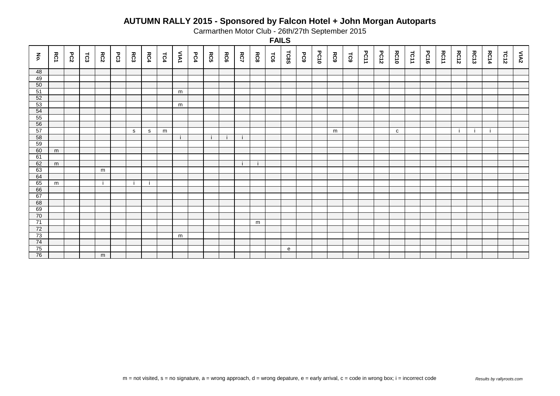Carmarthen Motor Club - 26th/27th September 2015

| $\xi$ | RC1 | PC2 | 123 | RC2 | $E_{C3}$ | RC3 | RC4          | TC4 | VAN | PC4 | RC5 | RC6 | RC7 | <b>RC8</b> | 50 <sub>4</sub> | <b>TC8S</b>  | <b>PC9</b> | <b>PC10</b> | RC9 | TC9 | <b>PC11</b> | <b>PC12</b> | <b>RC10</b>  | TC11 | <b>PC16</b> | RC11 | <b>RC12</b> | <b>RC13</b> | <b>RC14</b> | TC12 | $M\Delta$ |
|-------|-----|-----|-----|-----|----------|-----|--------------|-----|-----|-----|-----|-----|-----|------------|-----------------|--------------|------------|-------------|-----|-----|-------------|-------------|--------------|------|-------------|------|-------------|-------------|-------------|------|-----------|
| 48    |     |     |     |     |          |     |              |     |     |     |     |     |     |            |                 |              |            |             |     |     |             |             |              |      |             |      |             |             |             |      |           |
| 49    |     |     |     |     |          |     |              |     |     |     |     |     |     |            |                 |              |            |             |     |     |             |             |              |      |             |      |             |             |             |      |           |
| 50    |     |     |     |     |          |     |              |     |     |     |     |     |     |            |                 |              |            |             |     |     |             |             |              |      |             |      |             |             |             |      |           |
| 51    |     |     |     |     |          |     |              |     | m   |     |     |     |     |            |                 |              |            |             |     |     |             |             |              |      |             |      |             |             |             |      |           |
| 52    |     |     |     |     |          |     |              |     |     |     |     |     |     |            |                 |              |            |             |     |     |             |             |              |      |             |      |             |             |             |      |           |
| 53    |     |     |     |     |          |     |              |     | m   |     |     |     |     |            |                 |              |            |             |     |     |             |             |              |      |             |      |             |             |             |      |           |
| 54    |     |     |     |     |          |     |              |     |     |     |     |     |     |            |                 |              |            |             |     |     |             |             |              |      |             |      |             |             |             |      |           |
| 55    |     |     |     |     |          |     |              |     |     |     |     |     |     |            |                 |              |            |             |     |     |             |             |              |      |             |      |             |             |             |      |           |
| 56    |     |     |     |     |          |     |              |     |     |     |     |     |     |            |                 |              |            |             |     |     |             |             |              |      |             |      |             |             |             |      |           |
| 57    |     |     |     |     |          | S   | $\mathbf{s}$ | m   |     |     |     |     |     |            |                 |              |            |             | m   |     |             |             | $\mathbf{C}$ |      |             |      | ÷i          |             |             |      |           |
| 58    |     |     |     |     |          |     |              |     |     |     |     |     |     |            |                 |              |            |             |     |     |             |             |              |      |             |      |             |             |             |      |           |
| 59    |     |     |     |     |          |     |              |     |     |     |     |     |     |            |                 |              |            |             |     |     |             |             |              |      |             |      |             |             |             |      |           |
| 60    | m   |     |     |     |          |     |              |     |     |     |     |     |     |            |                 |              |            |             |     |     |             |             |              |      |             |      |             |             |             |      |           |
| 61    |     |     |     |     |          |     |              |     |     |     |     |     |     |            |                 |              |            |             |     |     |             |             |              |      |             |      |             |             |             |      |           |
| 62    | m   |     |     |     |          |     |              |     |     |     |     |     |     |            |                 |              |            |             |     |     |             |             |              |      |             |      |             |             |             |      |           |
| 63    |     |     |     | m   |          |     |              |     |     |     |     |     |     |            |                 |              |            |             |     |     |             |             |              |      |             |      |             |             |             |      |           |
| 64    |     |     |     |     |          |     |              |     |     |     |     |     |     |            |                 |              |            |             |     |     |             |             |              |      |             |      |             |             |             |      |           |
| 65    | m   |     |     | -i  |          |     |              |     |     |     |     |     |     |            |                 |              |            |             |     |     |             |             |              |      |             |      |             |             |             |      |           |
| 66    |     |     |     |     |          |     |              |     |     |     |     |     |     |            |                 |              |            |             |     |     |             |             |              |      |             |      |             |             |             |      |           |
| 67    |     |     |     |     |          |     |              |     |     |     |     |     |     |            |                 |              |            |             |     |     |             |             |              |      |             |      |             |             |             |      |           |
| 68    |     |     |     |     |          |     |              |     |     |     |     |     |     |            |                 |              |            |             |     |     |             |             |              |      |             |      |             |             |             |      |           |
| 69    |     |     |     |     |          |     |              |     |     |     |     |     |     |            |                 |              |            |             |     |     |             |             |              |      |             |      |             |             |             |      |           |
| 70    |     |     |     |     |          |     |              |     |     |     |     |     |     |            |                 |              |            |             |     |     |             |             |              |      |             |      |             |             |             |      |           |
| 71    |     |     |     |     |          |     |              |     |     |     |     |     |     | m          |                 |              |            |             |     |     |             |             |              |      |             |      |             |             |             |      |           |
| 72    |     |     |     |     |          |     |              |     |     |     |     |     |     |            |                 |              |            |             |     |     |             |             |              |      |             |      |             |             |             |      |           |
| 73    |     |     |     |     |          |     |              |     | m   |     |     |     |     |            |                 |              |            |             |     |     |             |             |              |      |             |      |             |             |             |      |           |
| 74    |     |     |     |     |          |     |              |     |     |     |     |     |     |            |                 |              |            |             |     |     |             |             |              |      |             |      |             |             |             |      |           |
| 75    |     |     |     |     |          |     |              |     |     |     |     |     |     |            |                 | $\mathbf{e}$ |            |             |     |     |             |             |              |      |             |      |             |             |             |      |           |
| 76    |     |     |     | m   |          |     |              |     |     |     |     |     |     |            |                 |              |            |             |     |     |             |             |              |      |             |      |             |             |             |      |           |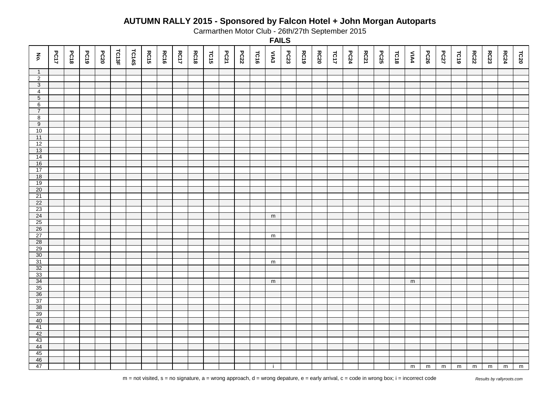Carmarthen Motor Club - 26th/27th September 2015

| $\mathbf{\tilde{e}}$ | <b>PC17</b> | PC18 | PC19 | <b>PC20</b> | TC13F | TC14S | <b>RC15</b> | <b>RC16</b> | <b>RC17</b> | <b>RC18</b> | TC15 | PC21 | <b>PC22</b> | 1016 | VIA <sub>3</sub> | PC23 | <b>RC19</b> | <b>RC20</b> | TC17 | PC24 | <b>RC21</b> | <b>PC25</b> | TC18 | <b>VIA4</b>    | <b>PC26</b> | <b>PC27</b> | FC19 | <b>RC22</b> | RC23           | <b>RC24</b> | TC20 |
|----------------------|-------------|------|------|-------------|-------|-------|-------------|-------------|-------------|-------------|------|------|-------------|------|------------------|------|-------------|-------------|------|------|-------------|-------------|------|----------------|-------------|-------------|------|-------------|----------------|-------------|------|
| $\mathbf{1}$         |             |      |      |             |       |       |             |             |             |             |      |      |             |      |                  |      |             |             |      |      |             |             |      |                |             |             |      |             |                |             |      |
| $\overline{2}$       |             |      |      |             |       |       |             |             |             |             |      |      |             |      |                  |      |             |             |      |      |             |             |      |                |             |             |      |             |                |             |      |
| $\overline{3}$       |             |      |      |             |       |       |             |             |             |             |      |      |             |      |                  |      |             |             |      |      |             |             |      |                |             |             |      |             |                |             |      |
| $\overline{4}$       |             |      |      |             |       |       |             |             |             |             |      |      |             |      |                  |      |             |             |      |      |             |             |      |                |             |             |      |             |                |             |      |
| $\overline{5}$       |             |      |      |             |       |       |             |             |             |             |      |      |             |      |                  |      |             |             |      |      |             |             |      |                |             |             |      |             |                |             |      |
| 6                    |             |      |      |             |       |       |             |             |             |             |      |      |             |      |                  |      |             |             |      |      |             |             |      |                |             |             |      |             |                |             |      |
| $\overline{7}$       |             |      |      |             |       |       |             |             |             |             |      |      |             |      |                  |      |             |             |      |      |             |             |      |                |             |             |      |             |                |             |      |
| $\overline{8}$       |             |      |      |             |       |       |             |             |             |             |      |      |             |      |                  |      |             |             |      |      |             |             |      |                |             |             |      |             |                |             |      |
| $\overline{9}$       |             |      |      |             |       |       |             |             |             |             |      |      |             |      |                  |      |             |             |      |      |             |             |      |                |             |             |      |             |                |             |      |
| 10                   |             |      |      |             |       |       |             |             |             |             |      |      |             |      |                  |      |             |             |      |      |             |             |      |                |             |             |      |             |                |             |      |
| 11                   |             |      |      |             |       |       |             |             |             |             |      |      |             |      |                  |      |             |             |      |      |             |             |      |                |             |             |      |             |                |             |      |
| 12<br>13             |             |      |      |             |       |       |             |             |             |             |      |      |             |      |                  |      |             |             |      |      |             |             |      |                |             |             |      |             |                |             |      |
| 14                   |             |      |      |             |       |       |             |             |             |             |      |      |             |      |                  |      |             |             |      |      |             |             |      |                |             |             |      |             |                |             |      |
| 16                   |             |      |      |             |       |       |             |             |             |             |      |      |             |      |                  |      |             |             |      |      |             |             |      |                |             |             |      |             |                |             |      |
| 17                   |             |      |      |             |       |       |             |             |             |             |      |      |             |      |                  |      |             |             |      |      |             |             |      |                |             |             |      |             |                |             |      |
| 18                   |             |      |      |             |       |       |             |             |             |             |      |      |             |      |                  |      |             |             |      |      |             |             |      |                |             |             |      |             |                |             |      |
| 19                   |             |      |      |             |       |       |             |             |             |             |      |      |             |      |                  |      |             |             |      |      |             |             |      |                |             |             |      |             |                |             |      |
| $20\,$               |             |      |      |             |       |       |             |             |             |             |      |      |             |      |                  |      |             |             |      |      |             |             |      |                |             |             |      |             |                |             |      |
| 21                   |             |      |      |             |       |       |             |             |             |             |      |      |             |      |                  |      |             |             |      |      |             |             |      |                |             |             |      |             |                |             |      |
| 22                   |             |      |      |             |       |       |             |             |             |             |      |      |             |      |                  |      |             |             |      |      |             |             |      |                |             |             |      |             |                |             |      |
| 23                   |             |      |      |             |       |       |             |             |             |             |      |      |             |      |                  |      |             |             |      |      |             |             |      |                |             |             |      |             |                |             |      |
| 24                   |             |      |      |             |       |       |             |             |             |             |      |      |             |      | ${\sf m}$        |      |             |             |      |      |             |             |      |                |             |             |      |             |                |             |      |
| 25                   |             |      |      |             |       |       |             |             |             |             |      |      |             |      |                  |      |             |             |      |      |             |             |      |                |             |             |      |             |                |             |      |
| 26                   |             |      |      |             |       |       |             |             |             |             |      |      |             |      |                  |      |             |             |      |      |             |             |      |                |             |             |      |             |                |             |      |
| 27                   |             |      |      |             |       |       |             |             |             |             |      |      |             |      | ${\sf m}$        |      |             |             |      |      |             |             |      |                |             |             |      |             |                |             |      |
| 28                   |             |      |      |             |       |       |             |             |             |             |      |      |             |      |                  |      |             |             |      |      |             |             |      |                |             |             |      |             |                |             |      |
| 29                   |             |      |      |             |       |       |             |             |             |             |      |      |             |      |                  |      |             |             |      |      |             |             |      |                |             |             |      |             |                |             |      |
| $30\,$               |             |      |      |             |       |       |             |             |             |             |      |      |             |      |                  |      |             |             |      |      |             |             |      |                |             |             |      |             |                |             |      |
| 31                   |             |      |      |             |       |       |             |             |             |             |      |      |             |      | $\mathsf m$      |      |             |             |      |      |             |             |      |                |             |             |      |             |                |             |      |
| 32                   |             |      |      |             |       |       |             |             |             |             |      |      |             |      |                  |      |             |             |      |      |             |             |      |                |             |             |      |             |                |             |      |
| 33                   |             |      |      |             |       |       |             |             |             |             |      |      |             |      |                  |      |             |             |      |      |             |             |      |                |             |             |      |             |                |             |      |
| 34                   |             |      |      |             |       |       |             |             |             |             |      |      |             |      | ${\sf m}$        |      |             |             |      |      |             |             |      | ${\sf m}$      |             |             |      |             |                |             |      |
| 35                   |             |      |      |             |       |       |             |             |             |             |      |      |             |      |                  |      |             |             |      |      |             |             |      |                |             |             |      |             |                |             |      |
| 36                   |             |      |      |             |       |       |             |             |             |             |      |      |             |      |                  |      |             |             |      |      |             |             |      |                |             |             |      |             |                |             |      |
| 37                   |             |      |      |             |       |       |             |             |             |             |      |      |             |      |                  |      |             |             |      |      |             |             |      |                |             |             |      |             |                |             |      |
| 38                   |             |      |      |             |       |       |             |             |             |             |      |      |             |      |                  |      |             |             |      |      |             |             |      |                |             |             |      |             |                |             |      |
| 39                   |             |      |      |             |       |       |             |             |             |             |      |      |             |      |                  |      |             |             |      |      |             |             |      |                |             |             |      |             |                |             |      |
| 40                   |             |      |      |             |       |       |             |             |             |             |      |      |             |      |                  |      |             |             |      |      |             |             |      |                |             |             |      |             |                |             |      |
| 41                   |             |      |      |             |       |       |             |             |             |             |      |      |             |      |                  |      |             |             |      |      |             |             |      |                |             |             |      |             |                |             |      |
| 42                   |             |      |      |             |       |       |             |             |             |             |      |      |             |      |                  |      |             |             |      |      |             |             |      |                |             |             |      |             |                |             |      |
| 43                   |             |      |      |             |       |       |             |             |             |             |      |      |             |      |                  |      |             |             |      |      |             |             |      |                |             |             |      |             |                |             |      |
| 44                   |             |      |      |             |       |       |             |             |             |             |      |      |             |      |                  |      |             |             |      |      |             |             |      |                |             |             |      |             |                |             |      |
| 45                   |             |      |      |             |       |       |             |             |             |             |      |      |             |      |                  |      |             |             |      |      |             |             |      |                |             |             |      |             |                |             |      |
| 46                   |             |      |      |             |       |       |             |             |             |             |      |      |             |      |                  |      |             |             |      |      |             |             |      |                |             |             |      |             |                |             |      |
| 47                   |             |      |      |             |       |       |             |             |             |             |      |      |             |      |                  |      |             |             |      |      |             |             |      | $\overline{m}$ | m           | ${\sf m}$   | m    | m           | $\overline{m}$ | m           | m    |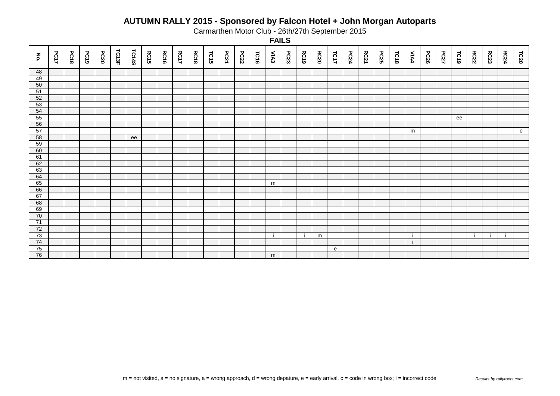Carmarthen Motor Club - 26th/27th September 2015

| $\mathbf{\tilde{e}}$ | <b>PC17</b> | <b>PC18</b> | PC19 | <b>PC20</b> | TC13F | <b>TC14S</b> | <b>RC15</b> | <b>RC16</b> | <b>RC17</b> | <b>RC18</b> | TC15 | <b>PC21</b> | <b>PC22</b> | TC16 | MAA | PC23 | <b>RC19</b> | <b>RC20</b> | TC17         | <b>PC24</b> | <b>RC21</b> | <b>PC25</b> | TC18 | MA4 | PC26 | <b>PC27</b> | TC19 | <b>RC22</b> | <b>RC23</b> | <b>RC24</b> | TC20 |
|----------------------|-------------|-------------|------|-------------|-------|--------------|-------------|-------------|-------------|-------------|------|-------------|-------------|------|-----|------|-------------|-------------|--------------|-------------|-------------|-------------|------|-----|------|-------------|------|-------------|-------------|-------------|------|
| 48                   |             |             |      |             |       |              |             |             |             |             |      |             |             |      |     |      |             |             |              |             |             |             |      |     |      |             |      |             |             |             |      |
| 49                   |             |             |      |             |       |              |             |             |             |             |      |             |             |      |     |      |             |             |              |             |             |             |      |     |      |             |      |             |             |             |      |
| 50                   |             |             |      |             |       |              |             |             |             |             |      |             |             |      |     |      |             |             |              |             |             |             |      |     |      |             |      |             |             |             |      |
| 51                   |             |             |      |             |       |              |             |             |             |             |      |             |             |      |     |      |             |             |              |             |             |             |      |     |      |             |      |             |             |             |      |
| 52                   |             |             |      |             |       |              |             |             |             |             |      |             |             |      |     |      |             |             |              |             |             |             |      |     |      |             |      |             |             |             |      |
| 53                   |             |             |      |             |       |              |             |             |             |             |      |             |             |      |     |      |             |             |              |             |             |             |      |     |      |             |      |             |             |             |      |
| 54                   |             |             |      |             |       |              |             |             |             |             |      |             |             |      |     |      |             |             |              |             |             |             |      |     |      |             |      |             |             |             |      |
| 55                   |             |             |      |             |       |              |             |             |             |             |      |             |             |      |     |      |             |             |              |             |             |             |      |     |      |             | ee   |             |             |             |      |
| 56                   |             |             |      |             |       |              |             |             |             |             |      |             |             |      |     |      |             |             |              |             |             |             |      |     |      |             |      |             |             |             |      |
| 57                   |             |             |      |             |       |              |             |             |             |             |      |             |             |      |     |      |             |             |              |             |             |             |      | m   |      |             |      |             |             |             | e    |
| 58                   |             |             |      |             |       | ee           |             |             |             |             |      |             |             |      |     |      |             |             |              |             |             |             |      |     |      |             |      |             |             |             |      |
| 59                   |             |             |      |             |       |              |             |             |             |             |      |             |             |      |     |      |             |             |              |             |             |             |      |     |      |             |      |             |             |             |      |
| 60                   |             |             |      |             |       |              |             |             |             |             |      |             |             |      |     |      |             |             |              |             |             |             |      |     |      |             |      |             |             |             |      |
| 61                   |             |             |      |             |       |              |             |             |             |             |      |             |             |      |     |      |             |             |              |             |             |             |      |     |      |             |      |             |             |             |      |
| 62                   |             |             |      |             |       |              |             |             |             |             |      |             |             |      |     |      |             |             |              |             |             |             |      |     |      |             |      |             |             |             |      |
| 63                   |             |             |      |             |       |              |             |             |             |             |      |             |             |      |     |      |             |             |              |             |             |             |      |     |      |             |      |             |             |             |      |
| 64                   |             |             |      |             |       |              |             |             |             |             |      |             |             |      |     |      |             |             |              |             |             |             |      |     |      |             |      |             |             |             |      |
| 65                   |             |             |      |             |       |              |             |             |             |             |      |             |             |      | m   |      |             |             |              |             |             |             |      |     |      |             |      |             |             |             |      |
| 66                   |             |             |      |             |       |              |             |             |             |             |      |             |             |      |     |      |             |             |              |             |             |             |      |     |      |             |      |             |             |             |      |
| 67                   |             |             |      |             |       |              |             |             |             |             |      |             |             |      |     |      |             |             |              |             |             |             |      |     |      |             |      |             |             |             |      |
| 68                   |             |             |      |             |       |              |             |             |             |             |      |             |             |      |     |      |             |             |              |             |             |             |      |     |      |             |      |             |             |             |      |
| 69                   |             |             |      |             |       |              |             |             |             |             |      |             |             |      |     |      |             |             |              |             |             |             |      |     |      |             |      |             |             |             |      |
| 70                   |             |             |      |             |       |              |             |             |             |             |      |             |             |      |     |      |             |             |              |             |             |             |      |     |      |             |      |             |             |             |      |
| 71                   |             |             |      |             |       |              |             |             |             |             |      |             |             |      |     |      |             |             |              |             |             |             |      |     |      |             |      |             |             |             |      |
| 72                   |             |             |      |             |       |              |             |             |             |             |      |             |             |      |     |      |             |             |              |             |             |             |      |     |      |             |      |             |             |             |      |
| 73                   |             |             |      |             |       |              |             |             |             |             |      |             |             |      |     |      | -i          | m           |              |             |             |             |      |     |      |             |      |             |             | -i          |      |
| 74                   |             |             |      |             |       |              |             |             |             |             |      |             |             |      |     |      |             |             |              |             |             |             |      | -i  |      |             |      |             |             |             |      |
| 75                   |             |             |      |             |       |              |             |             |             |             |      |             |             |      |     |      |             |             | $\mathbf{e}$ |             |             |             |      |     |      |             |      |             |             |             |      |
| 76                   |             |             |      |             |       |              |             |             |             |             |      |             |             |      | m   |      |             |             |              |             |             |             |      |     |      |             |      |             |             |             |      |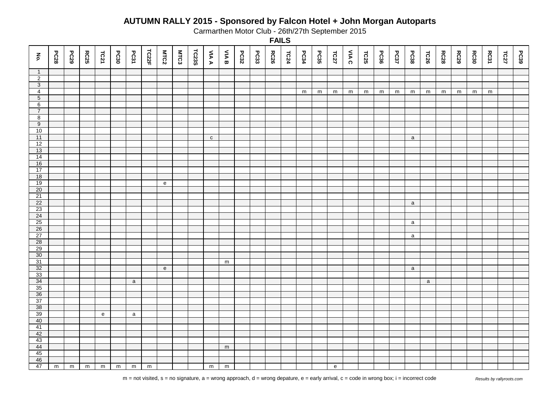Carmarthen Motor Club - 26th/27th September 2015

| $\mathbf{\tilde{e}}$ | <b>PC28</b> | <b>PC29</b> | <b>RC25</b>    | TC21         | PC30 | PC31         | TC22F          | <b>MTC2</b>  | <b>MTC3</b> | TC23S | <b>AIA A</b> | <b>SAR</b> | PC32 | PC33 | <b>RC26</b> | TC24 | PC34      | PC35 | TC27                              | VIA C | TC25      | PC36 | <b>PC37</b> | PC38         | TC26         | <b>RC28</b> | <b>RC29</b> | <b>RC30</b> | RC31      | TC27 | PC39 |
|----------------------|-------------|-------------|----------------|--------------|------|--------------|----------------|--------------|-------------|-------|--------------|------------|------|------|-------------|------|-----------|------|-----------------------------------|-------|-----------|------|-------------|--------------|--------------|-------------|-------------|-------------|-----------|------|------|
| $\overline{1}$       |             |             |                |              |      |              |                |              |             |       |              |            |      |      |             |      |           |      |                                   |       |           |      |             |              |              |             |             |             |           |      |      |
| $\overline{2}$       |             |             |                |              |      |              |                |              |             |       |              |            |      |      |             |      |           |      |                                   |       |           |      |             |              |              |             |             |             |           |      |      |
| $\overline{3}$       |             |             |                |              |      |              |                |              |             |       |              |            |      |      |             |      |           |      |                                   |       |           |      |             |              |              |             |             |             |           |      |      |
| $\overline{4}$       |             |             |                |              |      |              |                |              |             |       |              |            |      |      |             |      | ${\sf m}$ | m    | m                                 | m     | ${\sf m}$ | m    | m           | m            | m            | m           | m           | m           | ${\sf m}$ |      |      |
| $\overline{5}$       |             |             |                |              |      |              |                |              |             |       |              |            |      |      |             |      |           |      |                                   |       |           |      |             |              |              |             |             |             |           |      |      |
| 6                    |             |             |                |              |      |              |                |              |             |       |              |            |      |      |             |      |           |      |                                   |       |           |      |             |              |              |             |             |             |           |      |      |
| $\overline{7}$       |             |             |                |              |      |              |                |              |             |       |              |            |      |      |             |      |           |      |                                   |       |           |      |             |              |              |             |             |             |           |      |      |
| $\overline{8}$       |             |             |                |              |      |              |                |              |             |       |              |            |      |      |             |      |           |      |                                   |       |           |      |             |              |              |             |             |             |           |      |      |
| 9                    |             |             |                |              |      |              |                |              |             |       |              |            |      |      |             |      |           |      |                                   |       |           |      |             |              |              |             |             |             |           |      |      |
| 10<br>11             |             |             |                |              |      |              |                |              |             |       |              |            |      |      |             |      |           |      |                                   |       |           |      |             |              |              |             |             |             |           |      |      |
|                      |             |             |                |              |      |              |                |              |             |       | $\mathtt{C}$ |            |      |      |             |      |           |      |                                   |       |           |      |             | $\mathsf{a}$ |              |             |             |             |           |      |      |
| 12<br>13             |             |             |                |              |      |              |                |              |             |       |              |            |      |      |             |      |           |      |                                   |       |           |      |             |              |              |             |             |             |           |      |      |
| 14                   |             |             |                |              |      |              |                |              |             |       |              |            |      |      |             |      |           |      |                                   |       |           |      |             |              |              |             |             |             |           |      |      |
| 16                   |             |             |                |              |      |              |                |              |             |       |              |            |      |      |             |      |           |      |                                   |       |           |      |             |              |              |             |             |             |           |      |      |
| 17                   |             |             |                |              |      |              |                |              |             |       |              |            |      |      |             |      |           |      |                                   |       |           |      |             |              |              |             |             |             |           |      |      |
| 18                   |             |             |                |              |      |              |                |              |             |       |              |            |      |      |             |      |           |      |                                   |       |           |      |             |              |              |             |             |             |           |      |      |
| 19                   |             |             |                |              |      |              |                | ${\bf e}$    |             |       |              |            |      |      |             |      |           |      |                                   |       |           |      |             |              |              |             |             |             |           |      |      |
| 20                   |             |             |                |              |      |              |                |              |             |       |              |            |      |      |             |      |           |      |                                   |       |           |      |             |              |              |             |             |             |           |      |      |
| $\overline{21}$      |             |             |                |              |      |              |                |              |             |       |              |            |      |      |             |      |           |      |                                   |       |           |      |             |              |              |             |             |             |           |      |      |
| 22                   |             |             |                |              |      |              |                |              |             |       |              |            |      |      |             |      |           |      |                                   |       |           |      |             | $\mathsf a$  |              |             |             |             |           |      |      |
| 23                   |             |             |                |              |      |              |                |              |             |       |              |            |      |      |             |      |           |      |                                   |       |           |      |             |              |              |             |             |             |           |      |      |
| 24                   |             |             |                |              |      |              |                |              |             |       |              |            |      |      |             |      |           |      |                                   |       |           |      |             |              |              |             |             |             |           |      |      |
| 25                   |             |             |                |              |      |              |                |              |             |       |              |            |      |      |             |      |           |      |                                   |       |           |      |             | $\mathsf{a}$ |              |             |             |             |           |      |      |
| 26                   |             |             |                |              |      |              |                |              |             |       |              |            |      |      |             |      |           |      |                                   |       |           |      |             |              |              |             |             |             |           |      |      |
| 27                   |             |             |                |              |      |              |                |              |             |       |              |            |      |      |             |      |           |      |                                   |       |           |      |             | $\mathsf{a}$ |              |             |             |             |           |      |      |
| 28                   |             |             |                |              |      |              |                |              |             |       |              |            |      |      |             |      |           |      |                                   |       |           |      |             |              |              |             |             |             |           |      |      |
| 29                   |             |             |                |              |      |              |                |              |             |       |              |            |      |      |             |      |           |      |                                   |       |           |      |             |              |              |             |             |             |           |      |      |
| 30                   |             |             |                |              |      |              |                |              |             |       |              |            |      |      |             |      |           |      |                                   |       |           |      |             |              |              |             |             |             |           |      |      |
| 31                   |             |             |                |              |      |              |                |              |             |       |              | m          |      |      |             |      |           |      |                                   |       |           |      |             |              |              |             |             |             |           |      |      |
| 32                   |             |             |                |              |      |              |                | $\mathbf{e}$ |             |       |              |            |      |      |             |      |           |      |                                   |       |           |      |             | $\mathbf{a}$ |              |             |             |             |           |      |      |
| 33                   |             |             |                |              |      |              |                |              |             |       |              |            |      |      |             |      |           |      |                                   |       |           |      |             |              |              |             |             |             |           |      |      |
| 34                   |             |             |                |              |      | $\mathsf{a}$ |                |              |             |       |              |            |      |      |             |      |           |      |                                   |       |           |      |             |              | $\mathsf{a}$ |             |             |             |           |      |      |
| 35                   |             |             |                |              |      |              |                |              |             |       |              |            |      |      |             |      |           |      |                                   |       |           |      |             |              |              |             |             |             |           |      |      |
| 36                   |             |             |                |              |      |              |                |              |             |       |              |            |      |      |             |      |           |      |                                   |       |           |      |             |              |              |             |             |             |           |      |      |
| 37<br>38             |             |             |                |              |      |              |                |              |             |       |              |            |      |      |             |      |           |      |                                   |       |           |      |             |              |              |             |             |             |           |      |      |
| 39                   |             |             |                |              |      |              |                |              |             |       |              |            |      |      |             |      |           |      |                                   |       |           |      |             |              |              |             |             |             |           |      |      |
| 40                   |             |             |                | $\mathsf{e}$ |      | a            |                |              |             |       |              |            |      |      |             |      |           |      |                                   |       |           |      |             |              |              |             |             |             |           |      |      |
| 41                   |             |             |                |              |      |              |                |              |             |       |              |            |      |      |             |      |           |      |                                   |       |           |      |             |              |              |             |             |             |           |      |      |
| 42                   |             |             |                |              |      |              |                |              |             |       |              |            |      |      |             |      |           |      |                                   |       |           |      |             |              |              |             |             |             |           |      |      |
| 43                   |             |             |                |              |      |              |                |              |             |       |              |            |      |      |             |      |           |      |                                   |       |           |      |             |              |              |             |             |             |           |      |      |
| 44                   |             |             |                |              |      |              |                |              |             |       |              | m          |      |      |             |      |           |      |                                   |       |           |      |             |              |              |             |             |             |           |      |      |
| 45                   |             |             |                |              |      |              |                |              |             |       |              |            |      |      |             |      |           |      |                                   |       |           |      |             |              |              |             |             |             |           |      |      |
| 46                   |             |             |                |              |      |              |                |              |             |       |              |            |      |      |             |      |           |      |                                   |       |           |      |             |              |              |             |             |             |           |      |      |
| 47                   | $\mathsf m$ | m           | $\overline{m}$ | m            | m    | m            | $\overline{m}$ |              |             |       | ${\sf m}$    | m          |      |      |             |      |           |      | $\mathsf{e}% _{t}\left( t\right)$ |       |           |      |             |              |              |             |             |             |           |      |      |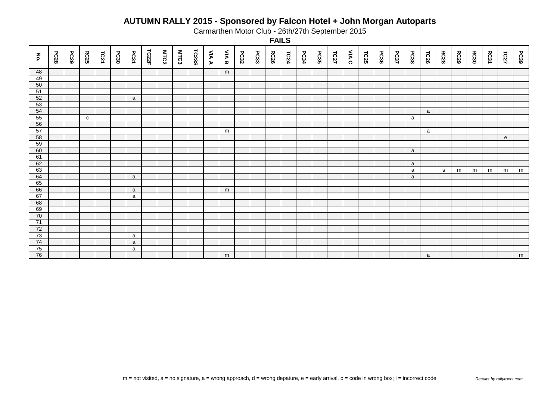Carmarthen Motor Club - 26th/27th September 2015

| $\mathbf{\tilde{e}}$ | <b>PC28</b> | PC29 | <b>RC25</b>  | TC21 | PC30 | PC31 | TC22F | MTC2 | <b>MTC3</b> | TC23S | <b>AIAA</b> | <b>NAB</b> | PC32 | PC33 | <b>RC26</b> | TC24 | PC34 | PC35 | TC27 | VIA C | TC25 | PC36 | <b>PC37</b> | PC38 | TC26 | <b>RC28</b> | <b>RC29</b> | <b>RC30</b> | RC31 | TC27 | PC39 |
|----------------------|-------------|------|--------------|------|------|------|-------|------|-------------|-------|-------------|------------|------|------|-------------|------|------|------|------|-------|------|------|-------------|------|------|-------------|-------------|-------------|------|------|------|
|                      |             |      |              |      |      |      |       |      |             |       |             |            |      |      |             |      |      |      |      |       |      |      |             |      |      |             |             |             |      |      |      |
| 48                   |             |      |              |      |      |      |       |      |             |       |             | m          |      |      |             |      |      |      |      |       |      |      |             |      |      |             |             |             |      |      |      |
| 49<br>50             |             |      |              |      |      |      |       |      |             |       |             |            |      |      |             |      |      |      |      |       |      |      |             |      |      |             |             |             |      |      |      |
| 51                   |             |      |              |      |      |      |       |      |             |       |             |            |      |      |             |      |      |      |      |       |      |      |             |      |      |             |             |             |      |      |      |
| 52                   |             |      |              |      |      | a    |       |      |             |       |             |            |      |      |             |      |      |      |      |       |      |      |             |      |      |             |             |             |      |      |      |
| 53                   |             |      |              |      |      |      |       |      |             |       |             |            |      |      |             |      |      |      |      |       |      |      |             |      |      |             |             |             |      |      |      |
| 54                   |             |      |              |      |      |      |       |      |             |       |             |            |      |      |             |      |      |      |      |       |      |      |             |      | a    |             |             |             |      |      |      |
| 55                   |             |      | $\mathbf{C}$ |      |      |      |       |      |             |       |             |            |      |      |             |      |      |      |      |       |      |      |             | a    |      |             |             |             |      |      |      |
| 56                   |             |      |              |      |      |      |       |      |             |       |             |            |      |      |             |      |      |      |      |       |      |      |             |      |      |             |             |             |      |      |      |
| 57                   |             |      |              |      |      |      |       |      |             |       |             | m          |      |      |             |      |      |      |      |       |      |      |             |      | a    |             |             |             |      |      |      |
| 58                   |             |      |              |      |      |      |       |      |             |       |             |            |      |      |             |      |      |      |      |       |      |      |             |      |      |             |             |             |      | e    |      |
| 59                   |             |      |              |      |      |      |       |      |             |       |             |            |      |      |             |      |      |      |      |       |      |      |             |      |      |             |             |             |      |      |      |
| 60                   |             |      |              |      |      |      |       |      |             |       |             |            |      |      |             |      |      |      |      |       |      |      |             | a    |      |             |             |             |      |      |      |
| 61                   |             |      |              |      |      |      |       |      |             |       |             |            |      |      |             |      |      |      |      |       |      |      |             |      |      |             |             |             |      |      |      |
| 62                   |             |      |              |      |      |      |       |      |             |       |             |            |      |      |             |      |      |      |      |       |      |      |             | a    |      |             |             |             |      |      |      |
| 63                   |             |      |              |      |      |      |       |      |             |       |             |            |      |      |             |      |      |      |      |       |      |      |             | a    |      | s           | m           | m           | m    | m    | m    |
| 64                   |             |      |              |      |      | a    |       |      |             |       |             |            |      |      |             |      |      |      |      |       |      |      |             | a    |      |             |             |             |      |      |      |
| 65                   |             |      |              |      |      |      |       |      |             |       |             |            |      |      |             |      |      |      |      |       |      |      |             |      |      |             |             |             |      |      |      |
| 66                   |             |      |              |      |      | a    |       |      |             |       |             | m          |      |      |             |      |      |      |      |       |      |      |             |      |      |             |             |             |      |      |      |
| 67                   |             |      |              |      |      | a    |       |      |             |       |             |            |      |      |             |      |      |      |      |       |      |      |             |      |      |             |             |             |      |      |      |
| 68                   |             |      |              |      |      |      |       |      |             |       |             |            |      |      |             |      |      |      |      |       |      |      |             |      |      |             |             |             |      |      |      |
| 69                   |             |      |              |      |      |      |       |      |             |       |             |            |      |      |             |      |      |      |      |       |      |      |             |      |      |             |             |             |      |      |      |
| 70                   |             |      |              |      |      |      |       |      |             |       |             |            |      |      |             |      |      |      |      |       |      |      |             |      |      |             |             |             |      |      |      |
| $\overline{71}$      |             |      |              |      |      |      |       |      |             |       |             |            |      |      |             |      |      |      |      |       |      |      |             |      |      |             |             |             |      |      |      |
| 72                   |             |      |              |      |      |      |       |      |             |       |             |            |      |      |             |      |      |      |      |       |      |      |             |      |      |             |             |             |      |      |      |
| 73                   |             |      |              |      |      | a    |       |      |             |       |             |            |      |      |             |      |      |      |      |       |      |      |             |      |      |             |             |             |      |      |      |
| 74                   |             |      |              |      |      | a    |       |      |             |       |             |            |      |      |             |      |      |      |      |       |      |      |             |      |      |             |             |             |      |      |      |
| 75                   |             |      |              |      |      | a    |       |      |             |       |             |            |      |      |             |      |      |      |      |       |      |      |             |      |      |             |             |             |      |      |      |
| 76                   |             |      |              |      |      |      |       |      |             |       |             | m          |      |      |             |      |      |      |      |       |      |      |             |      | a    |             |             |             |      |      | m    |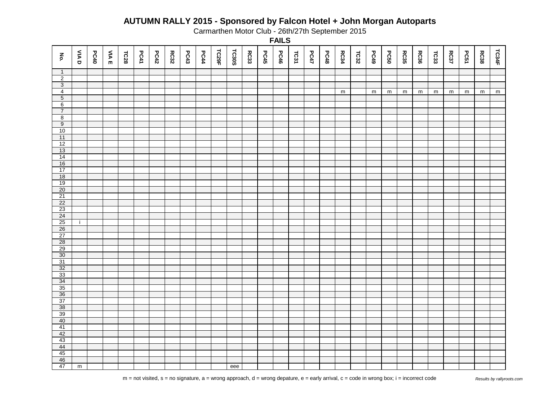Carmarthen Motor Club - 26th/27th September 2015

| $\mathbf{\tilde{e}}$ | <b>UAD</b>     | PC40 | <b>VIAE</b> | TC28 | PC41 | PC42 | <b>RC32</b> | PC43 | PC44 | TC29F | <b>TC30S</b> | <b>RC33</b> | PC45 | <b>PC46</b> | TC31 | <b>PC47</b> | PC48 | <b>RC34</b> | TC32 | PC49      | <b>PC50</b> | <b>RC35</b> | <b>RC36</b> | TCS3 | <b>RC37</b> | <b>PC51</b> | <b>RC38</b> | TC34F |
|----------------------|----------------|------|-------------|------|------|------|-------------|------|------|-------|--------------|-------------|------|-------------|------|-------------|------|-------------|------|-----------|-------------|-------------|-------------|------|-------------|-------------|-------------|-------|
| $\overline{1}$       |                |      |             |      |      |      |             |      |      |       |              |             |      |             |      |             |      |             |      |           |             |             |             |      |             |             |             |       |
| $\overline{2}$       |                |      |             |      |      |      |             |      |      |       |              |             |      |             |      |             |      |             |      |           |             |             |             |      |             |             |             |       |
| $\overline{3}$       |                |      |             |      |      |      |             |      |      |       |              |             |      |             |      |             |      |             |      |           |             |             |             |      |             |             |             |       |
| $\overline{4}$       |                |      |             |      |      |      |             |      |      |       |              |             |      |             |      |             |      | ${\sf m}$   |      | ${\sf m}$ | m           | m           | m           | m    | ${\sf m}$   | m           | m           | m     |
| $\overline{5}$<br>6  |                |      |             |      |      |      |             |      |      |       |              |             |      |             |      |             |      |             |      |           |             |             |             |      |             |             |             |       |
| $\overline{7}$       |                |      |             |      |      |      |             |      |      |       |              |             |      |             |      |             |      |             |      |           |             |             |             |      |             |             |             |       |
| $\overline{8}$       |                |      |             |      |      |      |             |      |      |       |              |             |      |             |      |             |      |             |      |           |             |             |             |      |             |             |             |       |
| $\overline{9}$       |                |      |             |      |      |      |             |      |      |       |              |             |      |             |      |             |      |             |      |           |             |             |             |      |             |             |             |       |
| 10                   |                |      |             |      |      |      |             |      |      |       |              |             |      |             |      |             |      |             |      |           |             |             |             |      |             |             |             |       |
| 11                   |                |      |             |      |      |      |             |      |      |       |              |             |      |             |      |             |      |             |      |           |             |             |             |      |             |             |             |       |
| 12                   |                |      |             |      |      |      |             |      |      |       |              |             |      |             |      |             |      |             |      |           |             |             |             |      |             |             |             |       |
| 13                   |                |      |             |      |      |      |             |      |      |       |              |             |      |             |      |             |      |             |      |           |             |             |             |      |             |             |             |       |
| 14                   |                |      |             |      |      |      |             |      |      |       |              |             |      |             |      |             |      |             |      |           |             |             |             |      |             |             |             |       |
| 16                   |                |      |             |      |      |      |             |      |      |       |              |             |      |             |      |             |      |             |      |           |             |             |             |      |             |             |             |       |
| 17                   |                |      |             |      |      |      |             |      |      |       |              |             |      |             |      |             |      |             |      |           |             |             |             |      |             |             |             |       |
| 18                   |                |      |             |      |      |      |             |      |      |       |              |             |      |             |      |             |      |             |      |           |             |             |             |      |             |             |             |       |
| 19                   |                |      |             |      |      |      |             |      |      |       |              |             |      |             |      |             |      |             |      |           |             |             |             |      |             |             |             |       |
| 20<br>21             |                |      |             |      |      |      |             |      |      |       |              |             |      |             |      |             |      |             |      |           |             |             |             |      |             |             |             |       |
| 22                   |                |      |             |      |      |      |             |      |      |       |              |             |      |             |      |             |      |             |      |           |             |             |             |      |             |             |             |       |
| 23                   |                |      |             |      |      |      |             |      |      |       |              |             |      |             |      |             |      |             |      |           |             |             |             |      |             |             |             |       |
| 24                   |                |      |             |      |      |      |             |      |      |       |              |             |      |             |      |             |      |             |      |           |             |             |             |      |             |             |             |       |
| 25                   | j.             |      |             |      |      |      |             |      |      |       |              |             |      |             |      |             |      |             |      |           |             |             |             |      |             |             |             |       |
| 26                   |                |      |             |      |      |      |             |      |      |       |              |             |      |             |      |             |      |             |      |           |             |             |             |      |             |             |             |       |
| 27                   |                |      |             |      |      |      |             |      |      |       |              |             |      |             |      |             |      |             |      |           |             |             |             |      |             |             |             |       |
| 28                   |                |      |             |      |      |      |             |      |      |       |              |             |      |             |      |             |      |             |      |           |             |             |             |      |             |             |             |       |
| 29                   |                |      |             |      |      |      |             |      |      |       |              |             |      |             |      |             |      |             |      |           |             |             |             |      |             |             |             |       |
| 30                   |                |      |             |      |      |      |             |      |      |       |              |             |      |             |      |             |      |             |      |           |             |             |             |      |             |             |             |       |
| 31                   |                |      |             |      |      |      |             |      |      |       |              |             |      |             |      |             |      |             |      |           |             |             |             |      |             |             |             |       |
| 32                   |                |      |             |      |      |      |             |      |      |       |              |             |      |             |      |             |      |             |      |           |             |             |             |      |             |             |             |       |
| 33                   |                |      |             |      |      |      |             |      |      |       |              |             |      |             |      |             |      |             |      |           |             |             |             |      |             |             |             |       |
| $\frac{34}{35}$      |                |      |             |      |      |      |             |      |      |       |              |             |      |             |      |             |      |             |      |           |             |             |             |      |             |             |             |       |
| 36                   |                |      |             |      |      |      |             |      |      |       |              |             |      |             |      |             |      |             |      |           |             |             |             |      |             |             |             |       |
| 37                   |                |      |             |      |      |      |             |      |      |       |              |             |      |             |      |             |      |             |      |           |             |             |             |      |             |             |             |       |
| 38                   |                |      |             |      |      |      |             |      |      |       |              |             |      |             |      |             |      |             |      |           |             |             |             |      |             |             |             |       |
| 39                   |                |      |             |      |      |      |             |      |      |       |              |             |      |             |      |             |      |             |      |           |             |             |             |      |             |             |             |       |
| 40                   |                |      |             |      |      |      |             |      |      |       |              |             |      |             |      |             |      |             |      |           |             |             |             |      |             |             |             |       |
| 41                   |                |      |             |      |      |      |             |      |      |       |              |             |      |             |      |             |      |             |      |           |             |             |             |      |             |             |             |       |
| 42                   |                |      |             |      |      |      |             |      |      |       |              |             |      |             |      |             |      |             |      |           |             |             |             |      |             |             |             |       |
| 43                   |                |      |             |      |      |      |             |      |      |       |              |             |      |             |      |             |      |             |      |           |             |             |             |      |             |             |             |       |
| $\frac{44}{45}$      |                |      |             |      |      |      |             |      |      |       |              |             |      |             |      |             |      |             |      |           |             |             |             |      |             |             |             |       |
|                      |                |      |             |      |      |      |             |      |      |       |              |             |      |             |      |             |      |             |      |           |             |             |             |      |             |             |             |       |
| 46                   |                |      |             |      |      |      |             |      |      |       |              |             |      |             |      |             |      |             |      |           |             |             |             |      |             |             |             |       |
| 47                   | $\overline{m}$ |      |             |      |      |      |             |      |      |       | eee          |             |      |             |      |             |      |             |      |           |             |             |             |      |             |             |             |       |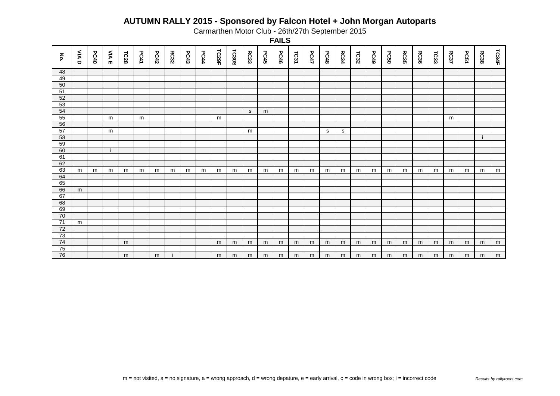Carmarthen Motor Club - 26th/27th September 2015

| $\mathbf{\tilde{e}}$ | <b>AIA</b> | PC40 | <b>VIA</b> E | TC28 | <b>PC41</b> | PC42 | <b>RC32</b> | PC43 | PC44 | TC29F | <b>TC30S</b> | RC33 | PC45 | <b>PC46</b> | TC31 | <b>PC47</b> | PC48 | <b>RC34</b> | TC32 | PC49 | <b>PC50</b> | RC35 | <b>RC36</b> | TC33 | <b>RC37</b> | PC51 | <b>RC38</b> | TC34F |
|----------------------|------------|------|--------------|------|-------------|------|-------------|------|------|-------|--------------|------|------|-------------|------|-------------|------|-------------|------|------|-------------|------|-------------|------|-------------|------|-------------|-------|
| 48                   |            |      |              |      |             |      |             |      |      |       |              |      |      |             |      |             |      |             |      |      |             |      |             |      |             |      |             |       |
| 49                   |            |      |              |      |             |      |             |      |      |       |              |      |      |             |      |             |      |             |      |      |             |      |             |      |             |      |             |       |
| 50                   |            |      |              |      |             |      |             |      |      |       |              |      |      |             |      |             |      |             |      |      |             |      |             |      |             |      |             |       |
| 51                   |            |      |              |      |             |      |             |      |      |       |              |      |      |             |      |             |      |             |      |      |             |      |             |      |             |      |             |       |
| 52                   |            |      |              |      |             |      |             |      |      |       |              |      |      |             |      |             |      |             |      |      |             |      |             |      |             |      |             |       |
| 53                   |            |      |              |      |             |      |             |      |      |       |              |      |      |             |      |             |      |             |      |      |             |      |             |      |             |      |             |       |
| 54                   |            |      |              |      |             |      |             |      |      |       |              | S    | m    |             |      |             |      |             |      |      |             |      |             |      |             |      |             |       |
| 55                   |            |      | m            |      | m           |      |             |      |      | m     |              |      |      |             |      |             |      |             |      |      |             |      |             |      | m           |      |             |       |
| 56                   |            |      |              |      |             |      |             |      |      |       |              |      |      |             |      |             |      |             |      |      |             |      |             |      |             |      |             |       |
| 57                   |            |      | m            |      |             |      |             |      |      |       |              | m    |      |             |      |             | s    | s           |      |      |             |      |             |      |             |      |             |       |
| 58                   |            |      |              |      |             |      |             |      |      |       |              |      |      |             |      |             |      |             |      |      |             |      |             |      |             |      |             |       |
| 59                   |            |      |              |      |             |      |             |      |      |       |              |      |      |             |      |             |      |             |      |      |             |      |             |      |             |      |             |       |
| 60                   |            |      |              |      |             |      |             |      |      |       |              |      |      |             |      |             |      |             |      |      |             |      |             |      |             |      |             |       |
| 61<br>62             |            |      |              |      |             |      |             |      |      |       |              |      |      |             |      |             |      |             |      |      |             |      |             |      |             |      |             |       |
| 63                   |            |      |              |      |             |      |             |      |      |       |              |      |      |             |      |             |      |             |      |      |             |      |             |      |             |      |             |       |
| 64                   | m          | m    | m            | m    | m           | m    | m           | m    | m    | m     | m            | m    | m    | m           | m    | m           | m    | m           | m    | m    | m           | m    | m           | m    | m           | m    | m           | m     |
| 65                   |            |      |              |      |             |      |             |      |      |       |              |      |      |             |      |             |      |             |      |      |             |      |             |      |             |      |             |       |
| 66                   | m          |      |              |      |             |      |             |      |      |       |              |      |      |             |      |             |      |             |      |      |             |      |             |      |             |      |             |       |
| 67                   |            |      |              |      |             |      |             |      |      |       |              |      |      |             |      |             |      |             |      |      |             |      |             |      |             |      |             |       |
| 68                   |            |      |              |      |             |      |             |      |      |       |              |      |      |             |      |             |      |             |      |      |             |      |             |      |             |      |             |       |
| 69                   |            |      |              |      |             |      |             |      |      |       |              |      |      |             |      |             |      |             |      |      |             |      |             |      |             |      |             |       |
| 70                   |            |      |              |      |             |      |             |      |      |       |              |      |      |             |      |             |      |             |      |      |             |      |             |      |             |      |             |       |
| $\overline{71}$      | m          |      |              |      |             |      |             |      |      |       |              |      |      |             |      |             |      |             |      |      |             |      |             |      |             |      |             |       |
| 72                   |            |      |              |      |             |      |             |      |      |       |              |      |      |             |      |             |      |             |      |      |             |      |             |      |             |      |             |       |
| 73                   |            |      |              |      |             |      |             |      |      |       |              |      |      |             |      |             |      |             |      |      |             |      |             |      |             |      |             |       |
| 74                   |            |      |              | m    |             |      |             |      |      | m     | m            | m    | m    | m           | m    | m           | m    | m           | m    | m    | m           | m    | m           | m    | m           | m    | m           | m     |
| 75                   |            |      |              |      |             |      |             |      |      |       |              |      |      |             |      |             |      |             |      |      |             |      |             |      |             |      |             |       |
| 76                   |            |      |              | m    |             | m    |             |      |      | m     | m            | m    | m    | m           | m    | m           | m    | m           | m    | m    | m           | m    | m           | m    | m           | m    | m           | m     |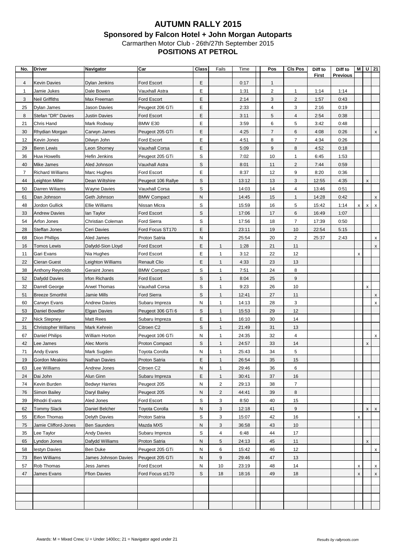| No. | Driver                     | Navigator             | Car                   | Class            | Fails        | Time         | Pos                            | <b>CIs Pos</b>      | Diff to      | Diff to         | М                  |             | $U$ 21                    |
|-----|----------------------------|-----------------------|-----------------------|------------------|--------------|--------------|--------------------------------|---------------------|--------------|-----------------|--------------------|-------------|---------------------------|
|     |                            |                       | <b>Ford Escort</b>    |                  |              |              |                                |                     | <b>First</b> | <b>Previous</b> |                    |             |                           |
| 4   | Kevin Davies               | <b>Dylan Jenkins</b>  |                       | Е                |              | 0:17         | $\mathbf{1}$<br>$\overline{2}$ |                     |              |                 |                    |             |                           |
| 1   | Jamie Jukes                | Dale Bowen            | Vauxhall Astra        | Е                |              | 1:31         |                                | $\mathbf{1}$        | 1:14         | 1:14            |                    |             |                           |
| 3   | Neil Griffiths             | Max Freeman           | Ford Escort           | Ε                |              | 2:14         | 3                              | $\overline{c}$      | 1:57         | 0:43            |                    |             |                           |
| 25  | Dylan James                | Jason Davies          | Peugeot 206 GTi       | Е<br>Ε           |              | 2:33         | 4<br>5                         | 3<br>$\overline{4}$ | 2:16         | 0:19            |                    |             |                           |
| 8   | Stefan "DR" Davies         | <b>Justin Davies</b>  | <b>Ford Escort</b>    | Е                |              | 3:11         | 6                              | 5                   | 2:54         | 0:38            |                    |             |                           |
| 21  | Chris Hand                 | Mark Rodway           | BMW E30               |                  |              | 3:59         | $\overline{7}$                 | 6                   | 3:42         | 0:48            |                    |             |                           |
| 30  | Rhydian Morgan             | Carwyn James          | Peugeot 205 GTi       | Е                |              | 4:25         |                                | $\overline{7}$      | 4:08         | 0:26            |                    |             | X                         |
| 12  | Kevin Jones                | Dilwyn John           | Ford Escort           | Е                |              | 4:51         | 8                              |                     | 4:34         | 0:26            |                    |             |                           |
| 29  | <b>Benn Lewis</b>          | Leon Shorney          | Vauxhall Corsa        | Ε<br>S           |              | 5:09<br>7:02 | 9                              | 8<br>$\mathbf{1}$   | 4:52         | 0:18            |                    |             |                           |
| 36  | Huw Howells                | Hefin Jenkins         | Peugeot 205 GTi       |                  |              |              | 10                             |                     | 6:45         | 1:53            |                    |             |                           |
| 40  | Mike James                 | Aled Johnson          | Vauxhall Astra        | $\mathbb S$<br>E |              | 8:01         | 11                             | $\overline{2}$      | 7:44         | 0:59            |                    |             |                           |
| 7   | <b>Richard Williams</b>    | Marc Hughes           | Ford Escort           |                  |              | 8:37         | 12                             | 9                   | 8:20         | 0:36            |                    |             |                           |
| 44  | Leighton Miller            | Dean Wiltshire        | Peugeot 106 Rallye    | S                |              | 13:12        | 13                             | 3                   | 12:55        | 4:35            |                    | X           |                           |
| 50  | Darren Wiliams             | Wayne Davies          | Vauxhall Corsa        | S                |              | 14:03        | 14                             | $\overline{4}$      | 13:46        | 0:51            |                    |             |                           |
| 61  | Dan Johnson                | Geth Johnson          | <b>BMW Compact</b>    | N                |              | 14:45        | 15                             | $\mathbf{1}$        | 14:28        | 0:42            |                    |             | x                         |
| 48  | Jordon Gullick             | Ellie Williams        | Nissan Micra          | S                |              | 15:59        | 16                             | 5                   | 15:42        | 1:14            | X                  | x           | $\boldsymbol{\mathsf{x}}$ |
| 33  | <b>Andrew Davies</b>       | lan Taylor            | Ford Escort           | S                |              | 17:06        | 17                             | 6                   | 16:49        | 1:07            |                    |             |                           |
| 54  | Arfon Jones                | Christian Coleman     | <b>Ford Sierra</b>    | $\mathbb S$      |              | 17:56        | 18                             | $\overline{7}$      | 17:39        | 0:50            |                    |             |                           |
| 28  | Steffan Jones              | Ceri Davies           | Ford Focus ST170      | Е                |              | 23:11        | 19                             | 10                  | 22:54        | 5:15            |                    |             |                           |
| 68  | Dion Phillips              | Aled James            | Proton Satria         | N                |              | 25:54        | 20                             | $\overline{2}$      | 25:37        | 2:43            |                    |             | x                         |
| 16  | <b>Tomos Lewis</b>         | Dafydd-Sion Lloyd     | Ford Escort           | E                | $\mathbf{1}$ | 1:28         | 21                             | 11                  |              |                 |                    |             | X                         |
| 11  | Gari Evans                 | Nia Hughes            | Ford Escort           | E                | 1            | 3:12         | 22                             | 12                  |              |                 | X                  |             |                           |
| 22  | Cieran Guest               | Leighton Williams     | <b>Renault Clio</b>   | E                | 1            | 4:33         | 23                             | 13                  |              |                 |                    |             |                           |
| 38  | Anthony Reynolds           | Geraint Jones         | <b>BMW Compact</b>    | S                | $\mathbf{1}$ | 7:51         | 24                             | 8                   |              |                 |                    |             |                           |
| 52  | Dafydd Davies              | Irfon Richards        | Ford Escort           | S                | $\mathbf{1}$ | 8:04         | 25                             | 9                   |              |                 |                    |             |                           |
| 32  | Darrell George             | <b>Arwel Thomas</b>   | Vauxhall Corsa        | S                | $\mathbf{1}$ | 9:23         | 26                             | 10                  |              |                 |                    | x           |                           |
| 51  | <b>Breeze Smorthit</b>     | Jamie Mills           | <b>Ford Sierra</b>    | S                | $\mathbf{1}$ | 12:41        | 27                             | 11                  |              |                 |                    |             | x                         |
| 60  | Carwyn Evans               | <b>Andrew Davies</b>  | Subaru Impreza        | N                | $\mathbf{1}$ | 14:13        | 28                             | 3                   |              |                 |                    |             | X                         |
| 53  | Daniel Bowdler             | <b>Elgan Davies</b>   | Peugeot 306 GTi 6     | S                | 1            | 15:53        | 29                             | 12                  |              |                 |                    |             |                           |
| 27  | <b>Nick Stepney</b>        | Matt Rees             | Subaru Impreza        | Е                | $\mathbf{1}$ | 16:10        | 30                             | 14                  |              |                 |                    |             |                           |
| 31  | <b>Christopher Willams</b> | Mark Kehrein          | Citroen C2            | S                | $\mathbf{1}$ | 21:49        | 31                             | 13                  |              |                 |                    |             |                           |
| 67  | Daniel Philips             | William Horton        | Peugeot 106 GTi       | N                | 1            | 24:35        | 32                             | 4                   |              |                 |                    |             | X                         |
| 42  | Lee James                  | Alec Morris           | <b>Proton Compact</b> | S                | $\mathbf{1}$ | 24:57        | 33                             | 14                  |              |                 |                    | X           |                           |
| 71  | Andy Evans                 | Mark Sugden           | Toyota Corolla        | N                | 1            | 25:43        | 34                             | 5                   |              |                 |                    |             |                           |
| 19  | Gordon Meakins             | Nathan Davies         | Proton Satria         | E                | 1            | 26:54        | 35                             | 15                  |              |                 |                    |             |                           |
| 63  | Lee Williams               | Andrew Jones          | Citroen C2            | N                | 1            | 29:46        | 36                             | 6                   |              |                 |                    |             |                           |
| 24  | Dai John                   | Alun Ginn             | Subaru Impreza        | E                | $\mathbf{1}$ | 30:41        | 37                             | 16                  |              |                 |                    |             |                           |
| 74  | Kevin Burden               | <b>Bedwyr Harries</b> | Peugeot 205           | N                | 2            | 29:13        | 38                             | $\overline{7}$      |              |                 |                    |             |                           |
| 76  | Simon Bailey               | Daryl Bailey          | Peugeot 205           | N                | 2            | 44:41        | 39                             | 8                   |              |                 |                    |             |                           |
| 39  | Rhodri Evans               | Aled Jones            | Ford Escort           | $\mathbb S$      | 3            | 8:50         | 40                             | 15                  |              |                 |                    |             |                           |
| 62  | <b>Tommy Slack</b>         | Daniel Belcher        | Toyota Corolla        | N                | 3            | 12:18        | 41                             | 9                   |              |                 |                    | x           | $\pmb{\mathsf{x}}$        |
| 55  | Eifion Thomas              | Delyth Davies         | Proton Satria         | S                | 3            | 15:07        | 42                             | 16                  |              |                 | $\pmb{\mathsf{x}}$ |             |                           |
| 75  | Jamie Clifford-Jones       | <b>Ben Saunders</b>   | Mazda MX5             | N                | 3            | 36:58        | 43                             | $10$                |              |                 |                    |             |                           |
| 35  | Lee Taylor                 | <b>Andy Davies</b>    | Subaru Impreza        | $\mathbb S$      | 4            | 6:48         | 44                             | 17                  |              |                 |                    |             |                           |
| 65  | Lyndon Jones               | Dafydd Williams       | Proton Satria         | N                | 5            | 24:13        | 45                             | 11                  |              |                 |                    | $\mathsf X$ |                           |
| 58  | lestyn Davies              | Ben Duke              | Peugeot 205 GTi       | N                | 6            | 15:42        | 46                             | 12                  |              |                 |                    |             | $\mathsf{x}$              |
| 73  | <b>Ben Williams</b>        | James Johnson Davies  | Peugeot 205 GTi       | N                | 9            | 29:46        | 47                             | 13                  |              |                 |                    |             |                           |
| 57  | Rob Thomas                 | Jess James            | Ford Escort           | N                | 10           | 23:19        | 48                             | 14                  |              |                 | $\pmb{\mathsf{x}}$ |             | X                         |
| 47  | James Evans                | <b>Ffion Davies</b>   | Ford Focus st170      | S                | 18           | 18:16        | 49                             | 18                  |              |                 | X                  |             | X                         |
|     |                            |                       |                       |                  |              |              |                                |                     |              |                 |                    |             |                           |
|     |                            |                       |                       |                  |              |              |                                |                     |              |                 |                    |             |                           |
|     |                            |                       |                       |                  |              |              |                                |                     |              |                 |                    |             |                           |
|     |                            |                       |                       |                  |              |              |                                |                     |              |                 |                    |             |                           |